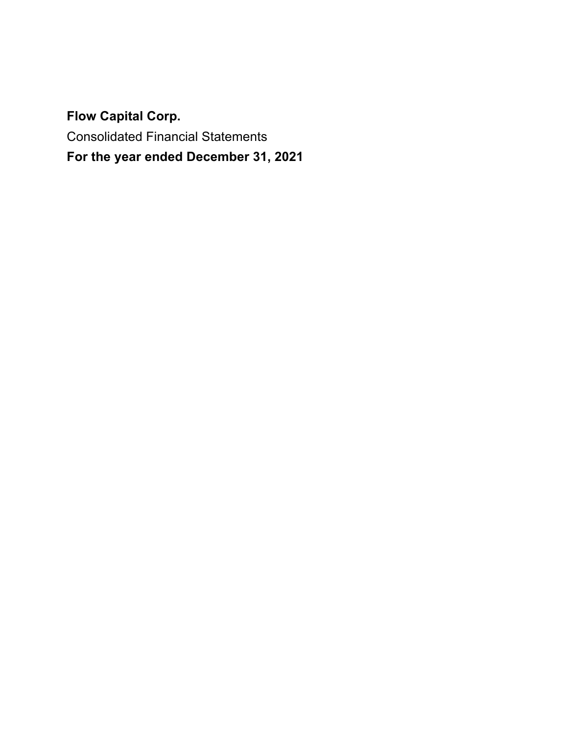# **Flow Capital Corp.**

Consolidated Financial Statements

**For the year ended December 31, 2021**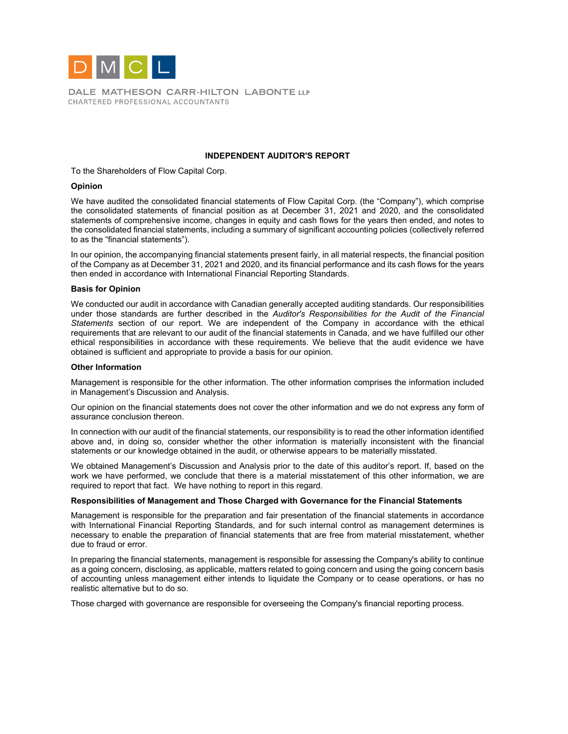

DALE MATHESON CARR-HILTON LABONTE LLP CHARTERED PROFESSIONAL ACCOUNTANTS

### **INDEPENDENT AUDITOR'S REPORT**

To the Shareholders of Flow Capital Corp.

### **Opinion**

We have audited the consolidated financial statements of Flow Capital Corp. (the "Company"), which comprise the consolidated statements of financial position as at December 31, 2021 and 2020, and the consolidated statements of comprehensive income, changes in equity and cash flows for the years then ended, and notes to the consolidated financial statements, including a summary of significant accounting policies (collectively referred to as the "financial statements").

In our opinion, the accompanying financial statements present fairly, in all material respects, the financial position of the Company as at December 31, 2021 and 2020, and its financial performance and its cash flows for the years then ended in accordance with International Financial Reporting Standards.

### **Basis for Opinion**

We conducted our audit in accordance with Canadian generally accepted auditing standards. Our responsibilities under those standards are further described in the *Auditor's Responsibilities for the Audit of the Financial Statements* section of our report. We are independent of the Company in accordance with the ethical requirements that are relevant to our audit of the financial statements in Canada, and we have fulfilled our other ethical responsibilities in accordance with these requirements. We believe that the audit evidence we have obtained is sufficient and appropriate to provide a basis for our opinion.

### **Other Information**

Management is responsible for the other information. The other information comprises the information included in Management's Discussion and Analysis.

Our opinion on the financial statements does not cover the other information and we do not express any form of assurance conclusion thereon.

In connection with our audit of the financial statements, our responsibility is to read the other information identified above and, in doing so, consider whether the other information is materially inconsistent with the financial statements or our knowledge obtained in the audit, or otherwise appears to be materially misstated.

We obtained Management's Discussion and Analysis prior to the date of this auditor's report. If, based on the work we have performed, we conclude that there is a material misstatement of this other information, we are required to report that fact. We have nothing to report in this regard.

### **Responsibilities of Management and Those Charged with Governance for the Financial Statements**

Management is responsible for the preparation and fair presentation of the financial statements in accordance with International Financial Reporting Standards, and for such internal control as management determines is necessary to enable the preparation of financial statements that are free from material misstatement, whether due to fraud or error.

In preparing the financial statements, management is responsible for assessing the Company's ability to continue as a going concern, disclosing, as applicable, matters related to going concern and using the going concern basis of accounting unless management either intends to liquidate the Company or to cease operations, or has no realistic alternative but to do so.

Those charged with governance are responsible for overseeing the Company's financial reporting process.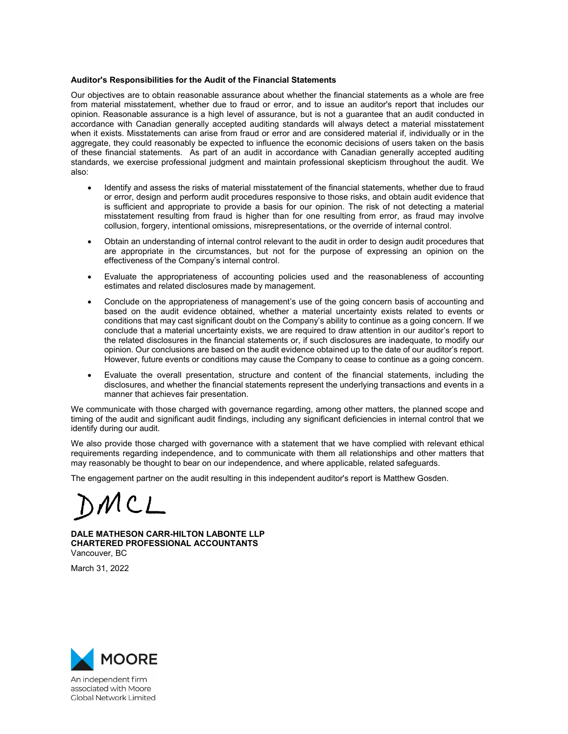### **Auditor's Responsibilities for the Audit of the Financial Statements**

Our objectives are to obtain reasonable assurance about whether the financial statements as a whole are free from material misstatement, whether due to fraud or error, and to issue an auditor's report that includes our opinion. Reasonable assurance is a high level of assurance, but is not a guarantee that an audit conducted in accordance with Canadian generally accepted auditing standards will always detect a material misstatement when it exists. Misstatements can arise from fraud or error and are considered material if, individually or in the aggregate, they could reasonably be expected to influence the economic decisions of users taken on the basis of these financial statements. As part of an audit in accordance with Canadian generally accepted auditing standards, we exercise professional judgment and maintain professional skepticism throughout the audit. We also:

- Identify and assess the risks of material misstatement of the financial statements, whether due to fraud or error, design and perform audit procedures responsive to those risks, and obtain audit evidence that is sufficient and appropriate to provide a basis for our opinion. The risk of not detecting a material misstatement resulting from fraud is higher than for one resulting from error, as fraud may involve collusion, forgery, intentional omissions, misrepresentations, or the override of internal control.
- Obtain an understanding of internal control relevant to the audit in order to design audit procedures that are appropriate in the circumstances, but not for the purpose of expressing an opinion on the effectiveness of the Company's internal control.
- Evaluate the appropriateness of accounting policies used and the reasonableness of accounting estimates and related disclosures made by management.
- Conclude on the appropriateness of management's use of the going concern basis of accounting and based on the audit evidence obtained, whether a material uncertainty exists related to events or conditions that may cast significant doubt on the Company's ability to continue as a going concern. If we conclude that a material uncertainty exists, we are required to draw attention in our auditor's report to the related disclosures in the financial statements or, if such disclosures are inadequate, to modify our opinion. Our conclusions are based on the audit evidence obtained up to the date of our auditor's report. However, future events or conditions may cause the Company to cease to continue as a going concern.
- Evaluate the overall presentation, structure and content of the financial statements, including the disclosures, and whether the financial statements represent the underlying transactions and events in a manner that achieves fair presentation.

We communicate with those charged with governance regarding, among other matters, the planned scope and timing of the audit and significant audit findings, including any significant deficiencies in internal control that we identify during our audit.

We also provide those charged with governance with a statement that we have complied with relevant ethical requirements regarding independence, and to communicate with them all relationships and other matters that may reasonably be thought to bear on our independence, and where applicable, related safeguards.

The engagement partner on the audit resulting in this independent auditor's report is Matthew Gosden.

**DALE MATHESON CARR-HILTON LABONTE LLP CHARTERED PROFESSIONAL ACCOUNTANTS** Vancouver, BC

March 31, 2022



An independent firm associated with Moore Global Network Limited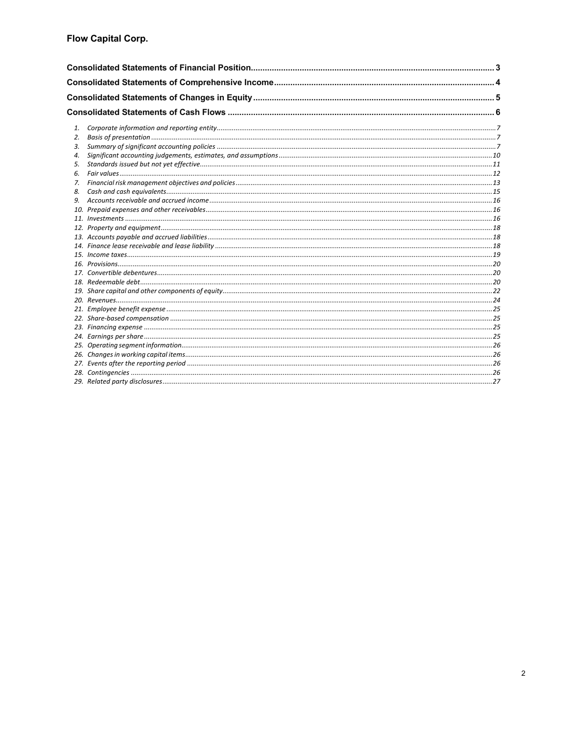# **Flow Capital Corp.**

| 1. |  |
|----|--|
|    |  |
| 3. |  |
| 4. |  |
| 5. |  |
| 6. |  |
| 7. |  |
| 8. |  |
| 9. |  |
|    |  |
|    |  |
|    |  |
|    |  |
|    |  |
|    |  |
|    |  |
|    |  |
|    |  |
|    |  |
|    |  |
|    |  |
|    |  |
|    |  |
|    |  |
|    |  |
|    |  |
|    |  |
|    |  |
|    |  |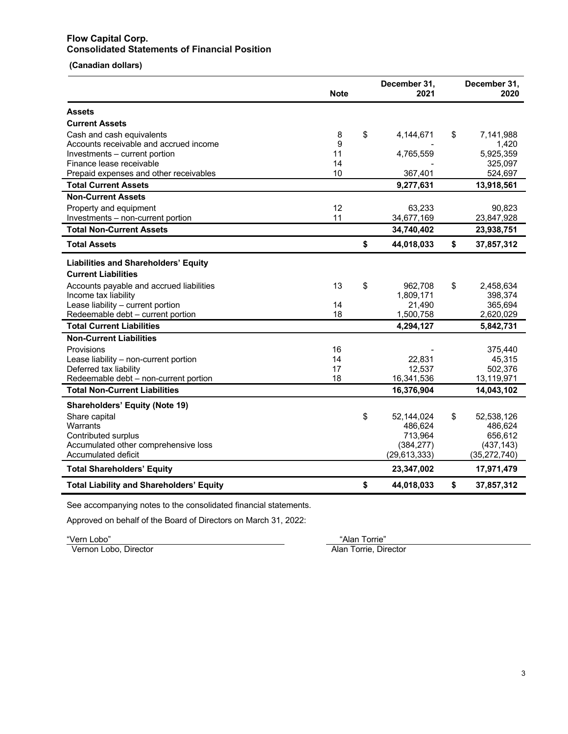# **Flow Capital Corp. Consolidated Statements of Financial Position**

**(Canadian dollars)**

|                                                 | <b>Note</b> | December 31,<br>2021 | December 31,<br>2020 |
|-------------------------------------------------|-------------|----------------------|----------------------|
| <b>Assets</b>                                   |             |                      |                      |
| <b>Current Assets</b>                           |             |                      |                      |
| Cash and cash equivalents                       | 8           | \$<br>4,144,671      | \$<br>7,141,988      |
| Accounts receivable and accrued income          | 9           |                      | 1,420                |
| Investments - current portion                   | 11          | 4,765,559            | 5,925,359            |
| Finance lease receivable                        | 14          |                      | 325,097              |
| Prepaid expenses and other receivables          | 10          | 367,401              | 524,697              |
| <b>Total Current Assets</b>                     |             | 9,277,631            | 13,918,561           |
| <b>Non-Current Assets</b>                       |             |                      |                      |
| Property and equipment                          | 12          | 63,233               | 90,823               |
| Investments - non-current portion               | 11          | 34,677,169           | 23,847,928           |
| <b>Total Non-Current Assets</b>                 |             | 34,740,402           | 23,938,751           |
| <b>Total Assets</b>                             |             | \$<br>44,018,033     | \$<br>37,857,312     |
| <b>Liabilities and Shareholders' Equity</b>     |             |                      |                      |
| <b>Current Liabilities</b>                      |             |                      |                      |
| Accounts payable and accrued liabilities        | 13          | \$<br>962,708        | \$<br>2,458,634      |
| Income tax liability                            |             | 1,809,171            | 398,374              |
| Lease liability - current portion               | 14          | 21,490               | 365,694              |
| Redeemable debt - current portion               | 18          | 1,500,758            | 2,620,029            |
| <b>Total Current Liabilities</b>                |             | 4,294,127            | 5,842,731            |
| <b>Non-Current Liabilities</b>                  |             |                      |                      |
| Provisions                                      | 16          |                      | 375,440              |
| Lease liability - non-current portion           | 14          | 22,831               | 45,315               |
| Deferred tax liability                          | 17          | 12,537               | 502,376              |
| Redeemable debt - non-current portion           | 18          | 16,341,536           | 13,119,971           |
| <b>Total Non-Current Liabilities</b>            |             | 16,376,904           | 14,043,102           |
| <b>Shareholders' Equity (Note 19)</b>           |             |                      |                      |
| Share capital                                   |             | \$<br>52,144,024     | \$<br>52,538,126     |
| Warrants                                        |             | 486,624              | 486,624              |
| Contributed surplus                             |             | 713,964              | 656,612              |
| Accumulated other comprehensive loss            |             | (384, 277)           | (437, 143)           |
| Accumulated deficit                             |             | (29, 613, 333)       | (35, 272, 740)       |
| <b>Total Shareholders' Equity</b>               |             | 23,347,002           | 17,971,479           |
| <b>Total Liability and Shareholders' Equity</b> |             | \$<br>44,018,033     | \$<br>37,857,312     |

See accompanying notes to the consolidated financial statements.

Approved on behalf of the Board of Directors on March 31, 2022:

Vernon Lobo, Director

"Vern Lobo" "Alan Torrie"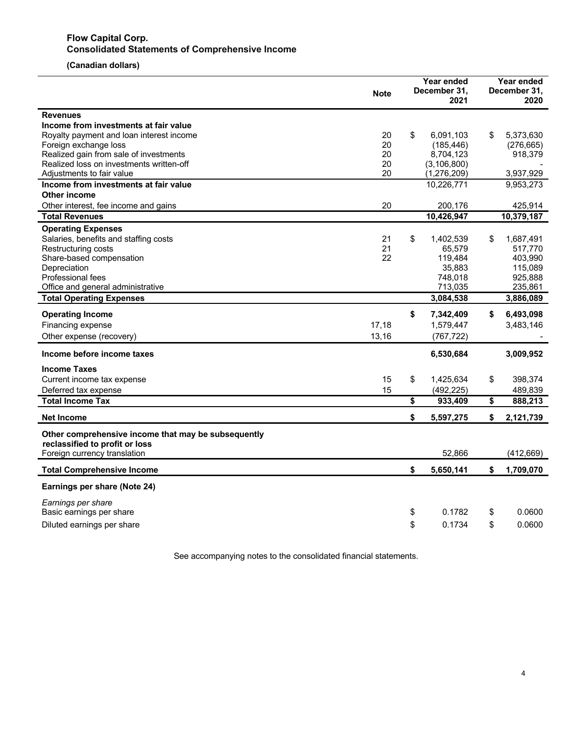# **Flow Capital Corp. Consolidated Statements of Comprehensive Income**

**(Canadian dollars)**

|                                                                                       | <b>Note</b> | Year ended<br>December 31,<br>2021 | Year ended<br>December 31,<br>2020 |
|---------------------------------------------------------------------------------------|-------------|------------------------------------|------------------------------------|
| <b>Revenues</b>                                                                       |             |                                    |                                    |
| Income from investments at fair value                                                 |             |                                    |                                    |
| Royalty payment and loan interest income                                              | 20          | \$<br>6,091,103                    | \$<br>5,373,630                    |
| Foreign exchange loss                                                                 | 20          | (185, 446)                         | (276, 665)                         |
| Realized gain from sale of investments                                                | 20          | 8,704,123                          | 918,379                            |
| Realized loss on investments written-off                                              | 20          | (3, 106, 800)                      |                                    |
| Adjustments to fair value                                                             | 20          | (1, 276, 209)                      | 3,937,929                          |
| Income from investments at fair value                                                 |             | 10,226,771                         | 9,953,273                          |
| <b>Other income</b>                                                                   |             |                                    |                                    |
| Other interest, fee income and gains                                                  | 20          | 200,176                            | 425,914                            |
| <b>Total Revenues</b>                                                                 |             | 10,426,947                         | 10,379,187                         |
| <b>Operating Expenses</b>                                                             |             |                                    |                                    |
| Salaries, benefits and staffing costs                                                 | 21          | \$<br>1,402,539                    | \$<br>1,687,491                    |
| Restructuring costs                                                                   | 21          | 65,579                             | 517,770                            |
| Share-based compensation                                                              | 22          | 119,484                            | 403,990                            |
| Depreciation<br>Professional fees                                                     |             | 35,883                             | 115,089                            |
| Office and general administrative                                                     |             | 748,018<br>713,035                 | 925,888<br>235,861                 |
| <b>Total Operating Expenses</b>                                                       |             | 3,084,538                          | 3,886,089                          |
|                                                                                       |             |                                    |                                    |
| <b>Operating Income</b>                                                               |             | \$<br>7,342,409                    | \$<br>6,493,098                    |
| Financing expense                                                                     | 17,18       | 1,579,447                          | 3,483,146                          |
| Other expense (recovery)                                                              | 13,16       | (767, 722)                         |                                    |
| Income before income taxes                                                            |             | 6,530,684                          | 3,009,952                          |
| <b>Income Taxes</b>                                                                   |             |                                    |                                    |
| Current income tax expense                                                            | 15          | \$<br>1,425,634                    | \$<br>398,374                      |
| Deferred tax expense                                                                  | 15          | (492, 225)                         | 489,839                            |
| <b>Total Income Tax</b>                                                               |             | \$<br>933,409                      | \$<br>888,213                      |
| <b>Net Income</b>                                                                     |             | \$<br>5,597,275                    | \$<br>2,121,739                    |
| Other comprehensive income that may be subsequently<br>reclassified to profit or loss |             |                                    |                                    |
| Foreign currency translation                                                          |             | 52,866                             | (412, 669)                         |
| <b>Total Comprehensive Income</b>                                                     |             | \$<br>5,650,141                    | \$<br>1,709,070                    |
| Earnings per share (Note 24)                                                          |             |                                    |                                    |
| Earnings per share                                                                    |             |                                    |                                    |
| Basic earnings per share                                                              |             | \$<br>0.1782                       | \$<br>0.0600                       |
| Diluted earnings per share                                                            |             | \$<br>0.1734                       | \$<br>0.0600                       |
|                                                                                       |             |                                    |                                    |

See accompanying notes to the consolidated financial statements.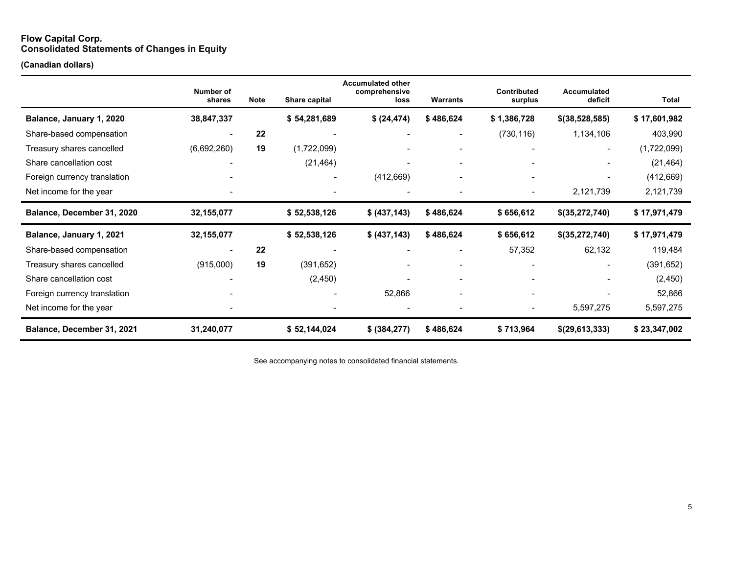# **Flow Capital Corp. Consolidated Statements of Changes in Equity**

# **(Canadian dollars)**

|                              | Number of<br>shares | <b>Note</b> | Share capital | <b>Accumulated other</b><br>comprehensive<br>loss | Warrants                 | Contributed<br>surplus   | Accumulated<br>deficit | <b>Total</b> |
|------------------------------|---------------------|-------------|---------------|---------------------------------------------------|--------------------------|--------------------------|------------------------|--------------|
| Balance, January 1, 2020     | 38,847,337          |             | \$54,281,689  | \$ (24, 474)                                      | \$486,624                | \$1,386,728              | \$(38,528,585)         | \$17,601,982 |
| Share-based compensation     | $\overline{a}$      | 22          |               |                                                   | $\overline{\phantom{0}}$ | (730, 116)               | 1,134,106              | 403,990      |
| Treasury shares cancelled    | (6,692,260)         | 19          | (1,722,099)   | $\blacksquare$                                    | -                        |                          |                        | (1,722,099)  |
| Share cancellation cost      |                     |             | (21, 464)     | $\overline{\phantom{a}}$                          | $\overline{\phantom{a}}$ | $\blacksquare$           |                        | (21, 464)    |
| Foreign currency translation |                     |             |               | (412, 669)                                        | -                        | $\overline{\phantom{a}}$ |                        | (412, 669)   |
| Net income for the year      |                     |             |               |                                                   |                          |                          | 2,121,739              | 2,121,739    |
| Balance, December 31, 2020   | 32,155,077          |             | \$52,538,126  | \$ (437, 143)                                     | \$486,624                | \$656,612                | \$(35,272,740)         | \$17,971,479 |
| Balance, January 1, 2021     | 32,155,077          |             | \$52,538,126  | \$ (437, 143)                                     | \$486,624                | \$656,612                | \$(35,272,740)         | \$17,971,479 |
| Share-based compensation     |                     | 22          |               |                                                   |                          | 57,352                   | 62,132                 | 119,484      |
| Treasury shares cancelled    | (915,000)           | 19          | (391, 652)    |                                                   |                          |                          |                        | (391, 652)   |
| Share cancellation cost      |                     |             | (2, 450)      |                                                   | -                        |                          |                        | (2,450)      |
| Foreign currency translation |                     |             |               | 52,866                                            | $\overline{\phantom{0}}$ |                          |                        | 52,866       |
| Net income for the year      |                     |             |               |                                                   |                          |                          | 5,597,275              | 5,597,275    |
| Balance, December 31, 2021   | 31,240,077          |             | \$52,144,024  | \$ (384, 277)                                     | \$486,624                | \$713,964                | \$(29,613,333)         | \$23,347,002 |

See accompanying notes to consolidated financial statements.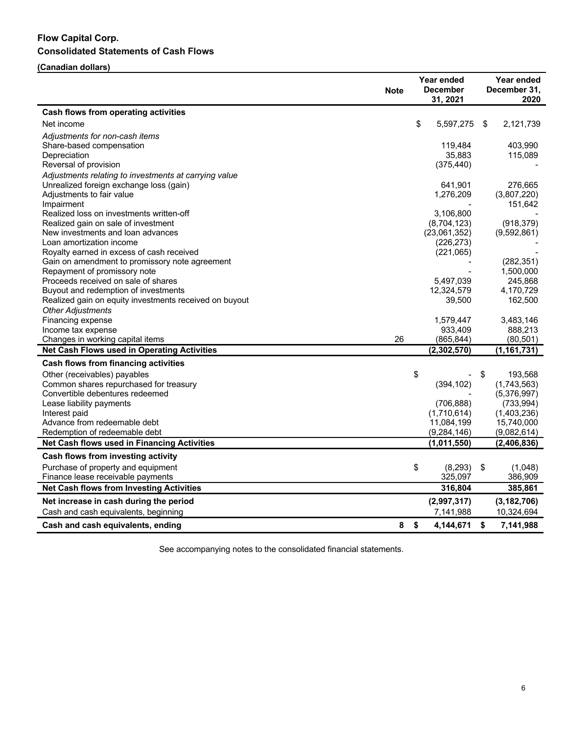# **Flow Capital Corp. Consolidated Statements of Cash Flows**

**(Canadian dollars)**

|                                                        | <b>Note</b> | Year ended<br><b>December</b><br>31, 2021 |                | Year ended<br>December 31.<br>2020 |
|--------------------------------------------------------|-------------|-------------------------------------------|----------------|------------------------------------|
| <b>Cash flows from operating activities</b>            |             |                                           |                |                                    |
| Net income                                             |             | \$<br>5,597,275                           | -\$            | 2,121,739                          |
| Adjustments for non-cash items                         |             |                                           |                |                                    |
| Share-based compensation                               |             | 119,484                                   |                | 403,990                            |
| Depreciation                                           |             | 35,883                                    |                | 115,089                            |
| Reversal of provision                                  |             | (375, 440)                                |                |                                    |
| Adjustments relating to investments at carrying value  |             |                                           |                |                                    |
| Unrealized foreign exchange loss (gain)                |             | 641,901                                   |                | 276,665                            |
| Adjustments to fair value                              |             | 1,276,209                                 |                | (3,807,220)                        |
| Impairment                                             |             |                                           |                | 151,642                            |
| Realized loss on investments written-off               |             | 3,106,800                                 |                |                                    |
| Realized gain on sale of investment                    |             | (8,704,123)                               |                | (918, 379)                         |
| New investments and loan advances                      |             | (23,061,352)                              |                | (9,592,861)                        |
| Loan amortization income                               |             | (226, 273)                                |                |                                    |
| Royalty earned in excess of cash received              |             | (221,065)                                 |                |                                    |
| Gain on amendment to promissory note agreement         |             |                                           |                | (282, 351)                         |
| Repayment of promissory note                           |             |                                           |                | 1,500,000                          |
| Proceeds received on sale of shares                    |             | 5.497.039                                 |                | 245.868                            |
| Buyout and redemption of investments                   |             | 12,324,579                                |                | 4,170,729                          |
| Realized gain on equity investments received on buyout |             | 39,500                                    |                | 162,500                            |
| <b>Other Adjustments</b>                               |             |                                           |                |                                    |
| Financing expense                                      |             | 1,579,447                                 |                | 3,483,146                          |
| Income tax expense                                     |             | 933,409                                   |                | 888,213                            |
| Changes in working capital items                       | 26          | (865,844)                                 |                | (80, 501)                          |
| Net Cash Flows used in Operating Activities            |             | (2, 302, 570)                             |                | (1, 161, 731)                      |
| <b>Cash flows from financing activities</b>            |             |                                           |                |                                    |
| Other (receivables) payables                           |             | \$                                        | $\mathfrak{s}$ | 193,568                            |
| Common shares repurchased for treasury                 |             | (394, 102)                                |                | (1,743,563)                        |
| Convertible debentures redeemed                        |             |                                           |                | (5,376,997)                        |
| Lease liability payments                               |             | (706, 888)                                |                | (733, 994)                         |
| Interest paid                                          |             | (1,710,614)                               |                | (1,403,236)                        |
| Advance from redeemable debt                           |             | 11,084,199                                |                | 15,740,000                         |
| Redemption of redeemable debt                          |             | (9, 284, 146)                             |                | (9,082,614)                        |
| Net Cash flows used in Financing Activities            |             | (1,011,550)                               |                | (2, 406, 836)                      |
| Cash flows from investing activity                     |             |                                           |                |                                    |
| Purchase of property and equipment                     |             | \$<br>(8, 293)                            | \$             | (1,048)                            |
| Finance lease receivable payments                      |             | 325,097                                   |                | 386,909                            |
| <b>Net Cash flows from Investing Activities</b>        |             | 316,804                                   |                | 385,861                            |
| Net increase in cash during the period                 |             | (2,997,317)                               |                | (3, 182, 706)                      |
| Cash and cash equivalents, beginning                   |             | 7,141,988                                 |                | 10,324,694                         |
| Cash and cash equivalents, ending                      | 8           | \$<br>4,144,671                           | \$             | 7,141,988                          |

See accompanying notes to the consolidated financial statements.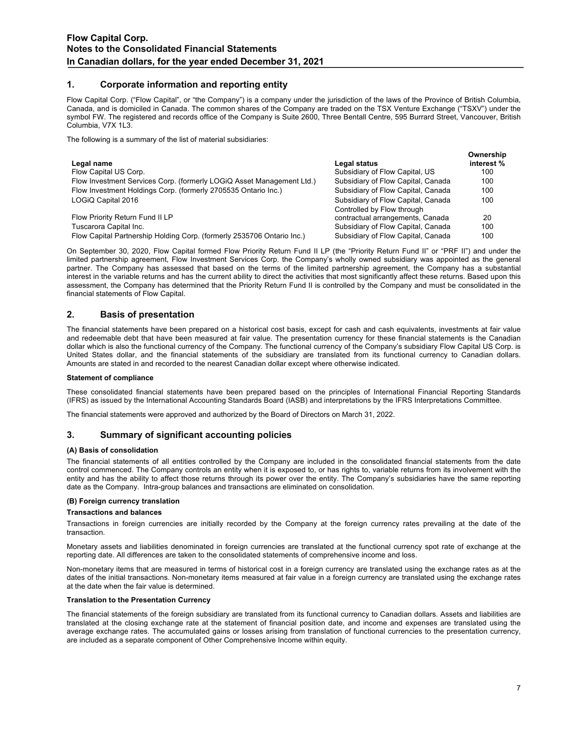### **1. Corporate information and reporting entity**

Flow Capital Corp. ("Flow Capital", or "the Company") is a company under the jurisdiction of the laws of the Province of British Columbia, Canada, and is domiciled in Canada. The common shares of the Company are traded on the TSX Venture Exchange ("TSXV") under the symbol FW. The registered and records office of the Company is Suite 2600, Three Bentall Centre, 595 Burrard Street, Vancouver, British Columbia, V7X 1L3.

The following is a summary of the list of material subsidiaries:

|                                                                        |                                    | Ownersnip |
|------------------------------------------------------------------------|------------------------------------|-----------|
| Legal name                                                             | Legal status                       | interest% |
| Flow Capital US Corp.                                                  | Subsidiary of Flow Capital, US     | 100       |
| Flow Investment Services Corp. (formerly LOGiQ Asset Management Ltd.)  | Subsidiary of Flow Capital, Canada | 100       |
| Flow Investment Holdings Corp. (formerly 2705535 Ontario Inc.)         | Subsidiary of Flow Capital, Canada | 100       |
| LOGIQ Capital 2016                                                     | Subsidiary of Flow Capital, Canada | 100       |
|                                                                        | Controlled by Flow through         |           |
| Flow Priority Return Fund II LP                                        | contractual arrangements, Canada   | 20        |
| Tuscarora Capital Inc.                                                 | Subsidiary of Flow Capital, Canada | 100       |
| Flow Capital Partnership Holding Corp. (formerly 2535706 Ontario Inc.) | Subsidiary of Flow Capital, Canada | 100       |

On September 30, 2020, Flow Capital formed Flow Priority Return Fund II LP (the "Priority Return Fund II" or "PRF II") and under the limited partnership agreement, Flow Investment Services Corp. the Company's wholly owned subsidiary was appointed as the general partner. The Company has assessed that based on the terms of the limited partnership agreement, the Company has a substantial interest in the variable returns and has the current ability to direct the activities that most significantly affect these returns. Based upon this assessment, the Company has determined that the Priority Return Fund II is controlled by the Company and must be consolidated in the financial statements of Flow Capital.

### **2. Basis of presentation**

The financial statements have been prepared on a historical cost basis, except for cash and cash equivalents, investments at fair value and redeemable debt that have been measured at fair value. The presentation currency for these financial statements is the Canadian dollar which is also the functional currency of the Company. The functional currency of the Company's subsidiary Flow Capital US Corp. is United States dollar, and the financial statements of the subsidiary are translated from its functional currency to Canadian dollars. Amounts are stated in and recorded to the nearest Canadian dollar except where otherwise indicated.

### **Statement of compliance**

These consolidated financial statements have been prepared based on the principles of International Financial Reporting Standards (IFRS) as issued by the International Accounting Standards Board (IASB) and interpretations by the IFRS Interpretations Committee.

The financial statements were approved and authorized by the Board of Directors on March 31, 2022.

### **3. Summary of significant accounting policies**

### **(A) Basis of consolidation**

The financial statements of all entities controlled by the Company are included in the consolidated financial statements from the date control commenced. The Company controls an entity when it is exposed to, or has rights to, variable returns from its involvement with the entity and has the ability to affect those returns through its power over the entity. The Company's subsidiaries have the same reporting date as the Company. Intra-group balances and transactions are eliminated on consolidation.

### **(B) Foreign currency translation**

### **Transactions and balances**

Transactions in foreign currencies are initially recorded by the Company at the foreign currency rates prevailing at the date of the transaction.

Monetary assets and liabilities denominated in foreign currencies are translated at the functional currency spot rate of exchange at the reporting date. All differences are taken to the consolidated statements of comprehensive income and loss.

Non-monetary items that are measured in terms of historical cost in a foreign currency are translated using the exchange rates as at the dates of the initial transactions. Non-monetary items measured at fair value in a foreign currency are translated using the exchange rates at the date when the fair value is determined.

### **Translation to the Presentation Currency**

The financial statements of the foreign subsidiary are translated from its functional currency to Canadian dollars. Assets and liabilities are translated at the closing exchange rate at the statement of financial position date, and income and expenses are translated using the average exchange rates. The accumulated gains or losses arising from translation of functional currencies to the presentation currency, are included as a separate component of Other Comprehensive Income within equity.

**Ownership**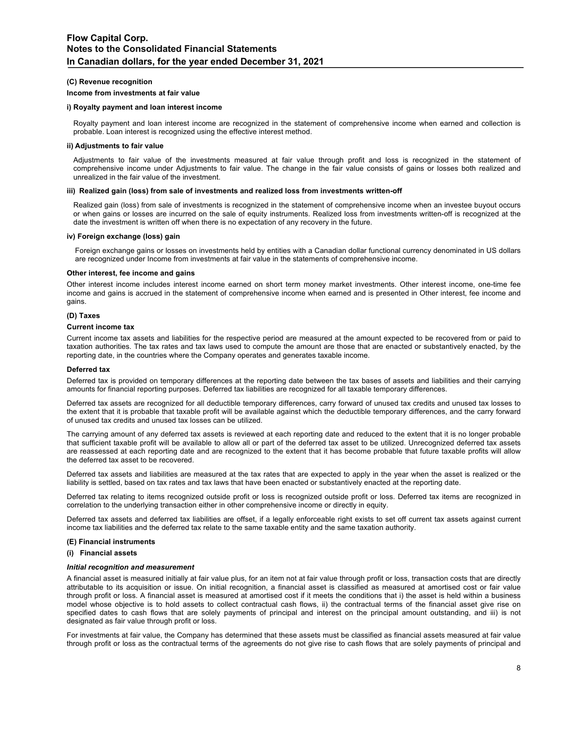### **(C) Revenue recognition**

#### **Income from investments at fair value**

#### **i) Royalty payment and loan interest income**

Royalty payment and loan interest income are recognized in the statement of comprehensive income when earned and collection is probable. Loan interest is recognized using the effective interest method.

### **ii) Adjustments to fair value**

Adjustments to fair value of the investments measured at fair value through profit and loss is recognized in the statement of comprehensive income under Adjustments to fair value. The change in the fair value consists of gains or losses both realized and unrealized in the fair value of the investment.

#### **iii) Realized gain (loss) from sale of investments and realized loss from investments written-off**

Realized gain (loss) from sale of investments is recognized in the statement of comprehensive income when an investee buyout occurs or when gains or losses are incurred on the sale of equity instruments. Realized loss from investments written-off is recognized at the date the investment is written off when there is no expectation of any recovery in the future.

#### **iv) Foreign exchange (loss) gain**

Foreign exchange gains or losses on investments held by entities with a Canadian dollar functional currency denominated in US dollars are recognized under Income from investments at fair value in the statements of comprehensive income.

#### **Other interest, fee income and gains**

Other interest income includes interest income earned on short term money market investments. Other interest income, one-time fee income and gains is accrued in the statement of comprehensive income when earned and is presented in Other interest, fee income and gains.

### **(D) Taxes**

#### **Current income tax**

Current income tax assets and liabilities for the respective period are measured at the amount expected to be recovered from or paid to taxation authorities. The tax rates and tax laws used to compute the amount are those that are enacted or substantively enacted, by the reporting date, in the countries where the Company operates and generates taxable income.

#### **Deferred tax**

Deferred tax is provided on temporary differences at the reporting date between the tax bases of assets and liabilities and their carrying amounts for financial reporting purposes. Deferred tax liabilities are recognized for all taxable temporary differences.

Deferred tax assets are recognized for all deductible temporary differences, carry forward of unused tax credits and unused tax losses to the extent that it is probable that taxable profit will be available against which the deductible temporary differences, and the carry forward of unused tax credits and unused tax losses can be utilized.

The carrying amount of any deferred tax assets is reviewed at each reporting date and reduced to the extent that it is no longer probable that sufficient taxable profit will be available to allow all or part of the deferred tax asset to be utilized. Unrecognized deferred tax assets are reassessed at each reporting date and are recognized to the extent that it has become probable that future taxable profits will allow the deferred tax asset to be recovered.

Deferred tax assets and liabilities are measured at the tax rates that are expected to apply in the year when the asset is realized or the liability is settled, based on tax rates and tax laws that have been enacted or substantively enacted at the reporting date.

Deferred tax relating to items recognized outside profit or loss is recognized outside profit or loss. Deferred tax items are recognized in correlation to the underlying transaction either in other comprehensive income or directly in equity.

Deferred tax assets and deferred tax liabilities are offset, if a legally enforceable right exists to set off current tax assets against current income tax liabilities and the deferred tax relate to the same taxable entity and the same taxation authority.

### **(E) Financial instruments**

### **(i) Financial assets**

### *Initial recognition and measurement*

A financial asset is measured initially at fair value plus, for an item not at fair value through profit or loss, transaction costs that are directly attributable to its acquisition or issue. On initial recognition, a financial asset is classified as measured at amortised cost or fair value through profit or loss. A financial asset is measured at amortised cost if it meets the conditions that i) the asset is held within a business model whose objective is to hold assets to collect contractual cash flows, ii) the contractual terms of the financial asset give rise on specified dates to cash flows that are solely payments of principal and interest on the principal amount outstanding, and iii) is not designated as fair value through profit or loss.

For investments at fair value, the Company has determined that these assets must be classified as financial assets measured at fair value through profit or loss as the contractual terms of the agreements do not give rise to cash flows that are solely payments of principal and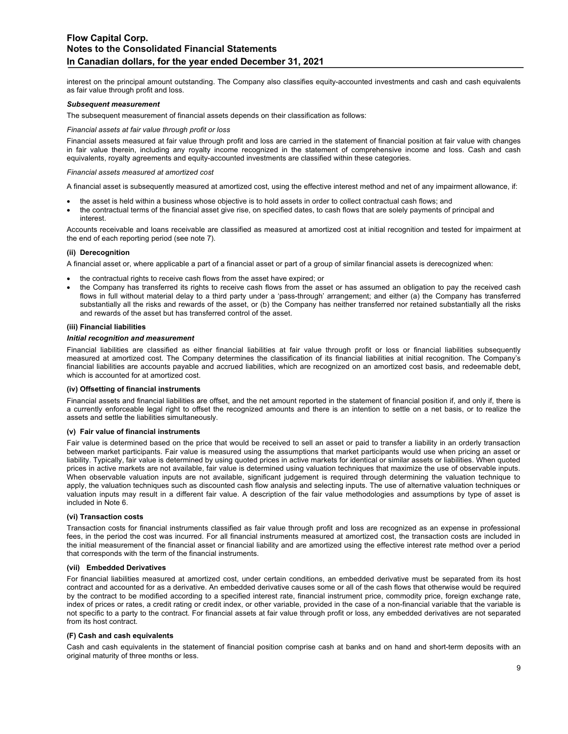interest on the principal amount outstanding. The Company also classifies equity-accounted investments and cash and cash equivalents as fair value through profit and loss.

#### *Subsequent measurement*

The subsequent measurement of financial assets depends on their classification as follows:

#### *Financial assets at fair value through profit or loss*

Financial assets measured at fair value through profit and loss are carried in the statement of financial position at fair value with changes in fair value therein, including any royalty income recognized in the statement of comprehensive income and loss. Cash and cash equivalents, royalty agreements and equity-accounted investments are classified within these categories.

#### *Financial assets measured at amortized cost*

A financial asset is subsequently measured at amortized cost, using the effective interest method and net of any impairment allowance, if:

- the asset is held within a business whose objective is to hold assets in order to collect contractual cash flows; and
- the contractual terms of the financial asset give rise, on specified dates, to cash flows that are solely payments of principal and interest.

Accounts receivable and loans receivable are classified as measured at amortized cost at initial recognition and tested for impairment at the end of each reporting period (see note 7).

### **(ii) Derecognition**

A financial asset or, where applicable a part of a financial asset or part of a group of similar financial assets is derecognized when:

- the contractual rights to receive cash flows from the asset have expired; or
- the Company has transferred its rights to receive cash flows from the asset or has assumed an obligation to pay the received cash flows in full without material delay to a third party under a 'pass-through' arrangement; and either (a) the Company has transferred substantially all the risks and rewards of the asset, or (b) the Company has neither transferred nor retained substantially all the risks and rewards of the asset but has transferred control of the asset.

#### **(iii) Financial liabilities**

#### *Initial recognition and measurement*

Financial liabilities are classified as either financial liabilities at fair value through profit or loss or financial liabilities subsequently measured at amortized cost. The Company determines the classification of its financial liabilities at initial recognition. The Company's financial liabilities are accounts payable and accrued liabilities, which are recognized on an amortized cost basis, and redeemable debt, which is accounted for at amortized cost.

### **(iv) Offsetting of financial instruments**

Financial assets and financial liabilities are offset, and the net amount reported in the statement of financial position if, and only if, there is a currently enforceable legal right to offset the recognized amounts and there is an intention to settle on a net basis, or to realize the assets and settle the liabilities simultaneously.

### **(v) Fair value of financial instruments**

Fair value is determined based on the price that would be received to sell an asset or paid to transfer a liability in an orderly transaction between market participants. Fair value is measured using the assumptions that market participants would use when pricing an asset or liability. Typically, fair value is determined by using quoted prices in active markets for identical or similar assets or liabilities. When quoted prices in active markets are not available, fair value is determined using valuation techniques that maximize the use of observable inputs. When observable valuation inputs are not available, significant judgement is required through determining the valuation technique to apply, the valuation techniques such as discounted cash flow analysis and selecting inputs. The use of alternative valuation techniques or valuation inputs may result in a different fair value. A description of the fair value methodologies and assumptions by type of asset is included in Note 6.

### **(vi) Transaction costs**

Transaction costs for financial instruments classified as fair value through profit and loss are recognized as an expense in professional fees, in the period the cost was incurred. For all financial instruments measured at amortized cost, the transaction costs are included in the initial measurement of the financial asset or financial liability and are amortized using the effective interest rate method over a period that corresponds with the term of the financial instruments.

### **(vii) Embedded Derivatives**

For financial liabilities measured at amortized cost, under certain conditions, an embedded derivative must be separated from its host contract and accounted for as a derivative. An embedded derivative causes some or all of the cash flows that otherwise would be required by the contract to be modified according to a specified interest rate, financial instrument price, commodity price, foreign exchange rate, index of prices or rates, a credit rating or credit index, or other variable, provided in the case of a non-financial variable that the variable is not specific to a party to the contract. For financial assets at fair value through profit or loss, any embedded derivatives are not separated from its host contract.

### **(F) Cash and cash equivalents**

Cash and cash equivalents in the statement of financial position comprise cash at banks and on hand and short-term deposits with an original maturity of three months or less.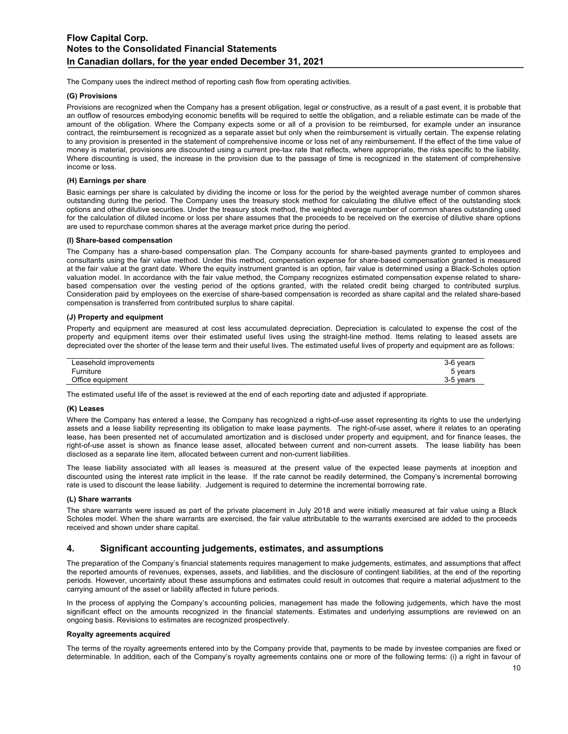The Company uses the indirect method of reporting cash flow from operating activities.

### **(G) Provisions**

Provisions are recognized when the Company has a present obligation, legal or constructive, as a result of a past event, it is probable that an outflow of resources embodying economic benefits will be required to settle the obligation, and a reliable estimate can be made of the amount of the obligation. Where the Company expects some or all of a provision to be reimbursed, for example under an insurance contract, the reimbursement is recognized as a separate asset but only when the reimbursement is virtually certain. The expense relating to any provision is presented in the statement of comprehensive income or loss net of any reimbursement. If the effect of the time value of money is material, provisions are discounted using a current pre-tax rate that reflects, where appropriate, the risks specific to the liability. Where discounting is used, the increase in the provision due to the passage of time is recognized in the statement of comprehensive income or loss.

### **(H) Earnings per share**

Basic earnings per share is calculated by dividing the income or loss for the period by the weighted average number of common shares outstanding during the period. The Company uses the treasury stock method for calculating the dilutive effect of the outstanding stock options and other dilutive securities. Under the treasury stock method, the weighted average number of common shares outstanding used for the calculation of diluted income or loss per share assumes that the proceeds to be received on the exercise of dilutive share options are used to repurchase common shares at the average market price during the period.

### **(I) Share-based compensation**

The Company has a share-based compensation plan. The Company accounts for share-based payments granted to employees and consultants using the fair value method. Under this method, compensation expense for share-based compensation granted is measured at the fair value at the grant date. Where the equity instrument granted is an option, fair value is determined using a Black-Scholes option valuation model. In accordance with the fair value method, the Company recognizes estimated compensation expense related to sharebased compensation over the vesting period of the options granted, with the related credit being charged to contributed surplus. Consideration paid by employees on the exercise of share-based compensation is recorded as share capital and the related share-based compensation is transferred from contributed surplus to share capital.

### **(J) Property and equipment**

Property and equipment are measured at cost less accumulated depreciation. Depreciation is calculated to expense the cost of the property and equipment items over their estimated useful lives using the straight-line method. Items relating to leased assets are depreciated over the shorter of the lease term and their useful lives. The estimated useful lives of property and equipment are as follows:

| Leasehold improvements | 3-6 years |
|------------------------|-----------|
| Furniture              | 5 years   |
| Office equipment       | 3-5 years |

The estimated useful life of the asset is reviewed at the end of each reporting date and adjusted if appropriate.

### **(K) Leases**

Where the Company has entered a lease, the Company has recognized a right-of-use asset representing its rights to use the underlying assets and a lease liability representing its obligation to make lease payments. The right-of-use asset, where it relates to an operating lease, has been presented net of accumulated amortization and is disclosed under property and equipment, and for finance leases, the right-of-use asset is shown as finance lease asset, allocated between current and non-current assets. The lease liability has been disclosed as a separate line item, allocated between current and non-current liabilities.

The lease liability associated with all leases is measured at the present value of the expected lease payments at inception and discounted using the interest rate implicit in the lease. If the rate cannot be readily determined, the Company's incremental borrowing rate is used to discount the lease liability. Judgement is required to determine the incremental borrowing rate.

### **(L) Share warrants**

The share warrants were issued as part of the private placement in July 2018 and were initially measured at fair value using a Black Scholes model. When the share warrants are exercised, the fair value attributable to the warrants exercised are added to the proceeds received and shown under share capital.

### **4. Significant accounting judgements, estimates, and assumptions**

The preparation of the Company's financial statements requires management to make judgements, estimates, and assumptions that affect the reported amounts of revenues, expenses, assets, and liabilities, and the disclosure of contingent liabilities, at the end of the reporting periods. However, uncertainty about these assumptions and estimates could result in outcomes that require a material adjustment to the carrying amount of the asset or liability affected in future periods.

In the process of applying the Company's accounting policies, management has made the following judgements, which have the most significant effect on the amounts recognized in the financial statements. Estimates and underlying assumptions are reviewed on an ongoing basis. Revisions to estimates are recognized prospectively.

### **Royalty agreements acquired**

The terms of the royalty agreements entered into by the Company provide that, payments to be made by investee companies are fixed or determinable. In addition, each of the Company's royalty agreements contains one or more of the following terms: (i) a right in favour of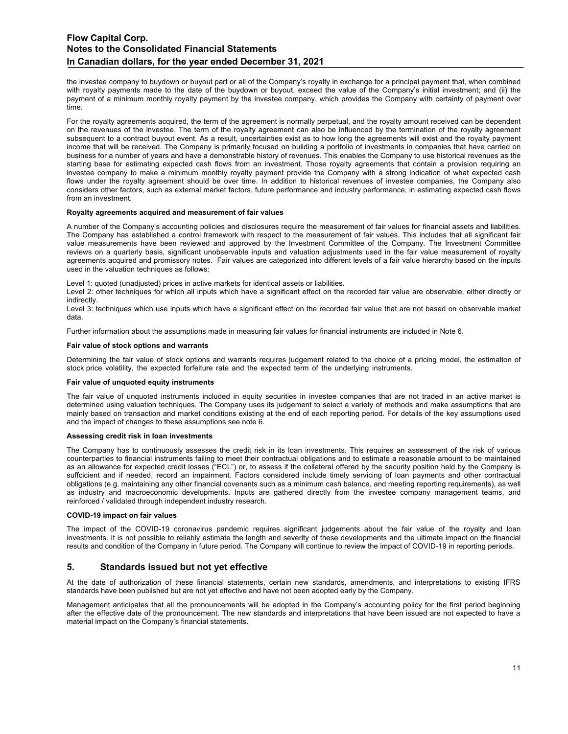the investee company to buydown or buyout part or all of the Company's royalty in exchange for a principal payment that, when combined with royalty payments made to the date of the buydown or buyout, exceed the value of the Company's initial investment; and (ii) the payment of a minimum monthly royalty payment by the investee company, which provides the Company with certainty of payment over time.

For the royalty agreements acquired, the term of the agreement is normally perpetual, and the royalty amount received can be dependent on the revenues of the investee. The term of the royalty agreement can also be influenced by the termination of the royalty agreement subsequent to a contract buyout event. As a result, uncertainties exist as to how long the agreements will exist and the royalty payment income that will be received. The Company is primarily focused on building a portfolio of investments in companies that have carried on business for a number of years and have a demonstrable history of revenues. This enables the Company to use historical revenues as the starting base for estimating expected cash flows from an investment. Those royalty agreements that contain a provision requiring an investee company to make a minimum monthly royalty payment provide the Company with a strong indication of what expected cash flows under the royalty agreement should be over time. In addition to historical revenues of investee companies, the Company also considers other factors, such as external market factors, future performance and industry performance, in estimating expected cash flows from an investment.

### **Royalty agreements acquired and measurement of fair values**

A number of the Company's accounting policies and disclosures require the measurement of fair values for financial assets and liabilities. The Company has established a control framework with respect to the measurement of fair values. This includes that all significant fair value measurements have been reviewed and approved by the Investment Committee of the Company. The Investment Committee reviews on a quarterly basis, significant unobservable inputs and valuation adjustments used in the fair value measurement of royalty agreements acquired and promissory notes. Fair values are categorized into different levels of a fair value hierarchy based on the inputs used in the valuation techniques as follows:

Level 1: quoted (unadjusted) prices in active markets for identical assets or liabilities.

Level 2: other techniques for which all inputs which have a significant effect on the recorded fair value are observable, either directly or indirectly.

Level 3: techniques which use inputs which have a significant effect on the recorded fair value that are not based on observable market data.

Further information about the assumptions made in measuring fair values for financial instruments are included in Note 6.

### **Fair value of stock options and warrants**

Determining the fair value of stock options and warrants requires judgement related to the choice of a pricing model, the estimation of stock price volatility, the expected forfeiture rate and the expected term of the underlying instruments.

### **Fair value of unquoted equity instruments**

The fair value of unquoted instruments included in equity securities in investee companies that are not traded in an active market is determined using valuation techniques. The Company uses its judgement to select a variety of methods and make assumptions that are mainly based on transaction and market conditions existing at the end of each reporting period. For details of the key assumptions used and the impact of changes to these assumptions see note 6.

### **Assessing credit risk in loan investments**

The Company has to continuously assesses the credit risk in its loan investments. This requires an assessment of the risk of various counterparties to financial instruments failing to meet their contractual obligations and to estimate a reasonable amount to be maintained as an allowance for expected credit losses ("ECL") or, to assess if the collateral offered by the security position held by the Company is suffcicient and if needed, record an impairment. Factors considered include timely servicing of loan payments and other contractual obligations (e.g. maintaining any other financial covenants such as a minimum cash balance, and meeting reporting requirements), as well as industry and macroeconomic developments. Inputs are gathered directly from the investee company management teams, and reinforced / validated through independent industry research.

### **COVID-19 impact on fair values**

The impact of the COVID-19 coronavirus pandemic requires significant judgements about the fair value of the royalty and loan investments. It is not possible to reliably estimate the length and severity of these developments and the ultimate impact on the financial results and condition of the Company in future period. The Company will continue to review the impact of COVID-19 in reporting periods.

### **5. Standards issued but not yet effective**

At the date of authorization of these financial statements, certain new standards, amendments, and interpretations to existing IFRS standards have been published but are not yet effective and have not been adopted early by the Company.

Management anticipates that all the pronouncements will be adopted in the Company's accounting policy for the first period beginning after the effective date of the pronouncement. The new standards and interpretations that have been issued are not expected to have a material impact on the Company's financial statements.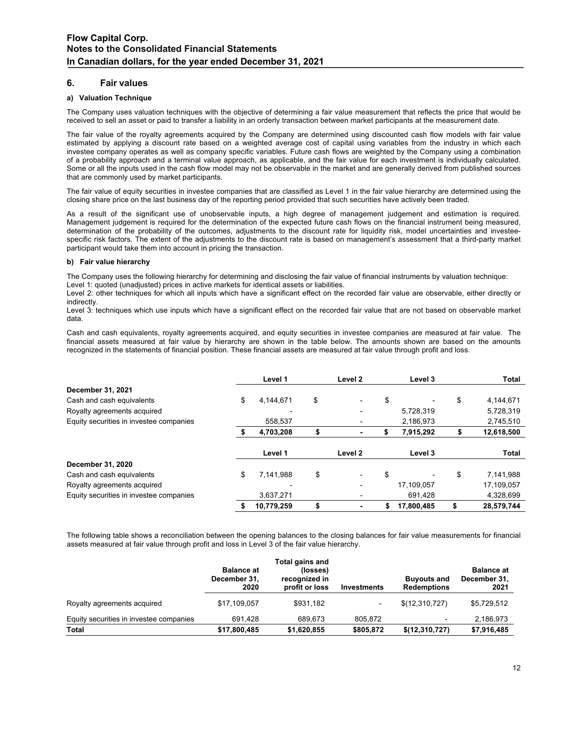### **6. Fair values**

### **a) Valuation Technique**

The Company uses valuation techniques with the objective of determining a fair value measurement that reflects the price that would be received to sell an asset or paid to transfer a liability in an orderly transaction between market participants at the measurement date.

The fair value of the royalty agreements acquired by the Company are determined using discounted cash flow models with fair value estimated by applying a discount rate based on a weighted average cost of capital using variables from the industry in which each investee company operates as well as company specific variables. Future cash flows are weighted by the Company using a combination of a probability approach and a terminal value approach, as applicable, and the fair value for each investment is individually calculated. Some or all the inputs used in the cash flow model may not be observable in the market and are generally derived from published sources that are commonly used by market participants.

The fair value of equity securities in investee companies that are classified as Level 1 in the fair value hierarchy are determined using the closing share price on the last business day of the reporting period provided that such securities have actively been traded.

As a result of the significant use of unobservable inputs, a high degree of management judgement and estimation is required. Management judgement is required for the determination of the expected future cash flows on the financial instrument being measured, determination of the probability of the outcomes, adjustments to the discount rate for liquidity risk, model uncertainties and investeespecific risk factors. The extent of the adjustments to the discount rate is based on management's assessment that a third-party market participant would take them into account in pricing the transaction.

### **b) Fair value hierarchy**

The Company uses the following hierarchy for determining and disclosing the fair value of financial instruments by valuation technique: Level 1: quoted (unadjusted) prices in active markets for identical assets or liabilities.

Level 2: other techniques for which all inputs which have a significant effect on the recorded fair value are observable, either directly or indirectly.

Level 3: techniques which use inputs which have a significant effect on the recorded fair value that are not based on observable market data.

Cash and cash equivalents, royalty agreements acquired, and equity securities in investee companies are measured at fair value. The financial assets measured at fair value by hierarchy are shown in the table below. The amounts shown are based on the amounts recognized in the statements of financial position. These financial assets are measured at fair value through profit and loss.

|                                         | Level 1         | Level 2                  | Level 3          | Total            |
|-----------------------------------------|-----------------|--------------------------|------------------|------------------|
| December 31, 2021                       |                 |                          |                  |                  |
| Cash and cash equivalents               | \$<br>4,144,671 | \$<br>٠                  | \$               | \$<br>4,144,671  |
| Royalty agreements acquired             |                 |                          | 5,728,319        | 5,728,319        |
| Equity securities in investee companies | 558,537         |                          | 2,186,973        | 2,745,510        |
|                                         | 4,703,208       |                          | 7,915,292        | \$<br>12,618,500 |
|                                         | Level 1         | Level <sub>2</sub>       | Level 3          | Total            |
| December 31, 2020                       |                 |                          |                  |                  |
| Cash and cash equivalents               | \$<br>7,141,988 | \$<br>٠                  | \$               | \$<br>7,141,988  |
| Royalty agreements acquired             |                 | $\overline{\phantom{0}}$ | 17,109,057       | 17,109,057       |
| Equity securities in investee companies | 3,637,271       |                          | 691.428          | 4,328,699        |
|                                         | 10,779,259      | \$<br>٠                  | \$<br>17,800,485 | \$<br>28.579.744 |

The following table shows a reconciliation between the opening balances to the closing balances for fair value measurements for financial assets measured at fair value through profit and loss in Level 3 of the fair value hierarchy.

|                                         | <b>Balance at</b><br>December 31,<br>2020 | Total gains and<br>(losses)<br>recognized in<br>profit or loss | <b>Investments</b> | <b>Buyouts and</b><br><b>Redemptions</b> | <b>Balance at</b><br>December 31,<br>2021 |
|-----------------------------------------|-------------------------------------------|----------------------------------------------------------------|--------------------|------------------------------------------|-------------------------------------------|
| Royalty agreements acquired             | \$17,109,057                              | \$931.182                                                      |                    | \$(12,310,727)                           | \$5,729,512                               |
| Equity securities in investee companies | 691.428                                   | 689.673                                                        | 805.872            | $\overline{\phantom{0}}$                 | 2.186.973                                 |
| Total                                   | \$17,800,485                              | \$1,620,855                                                    | \$805,872          | \$(12,310,727)                           | \$7,916,485                               |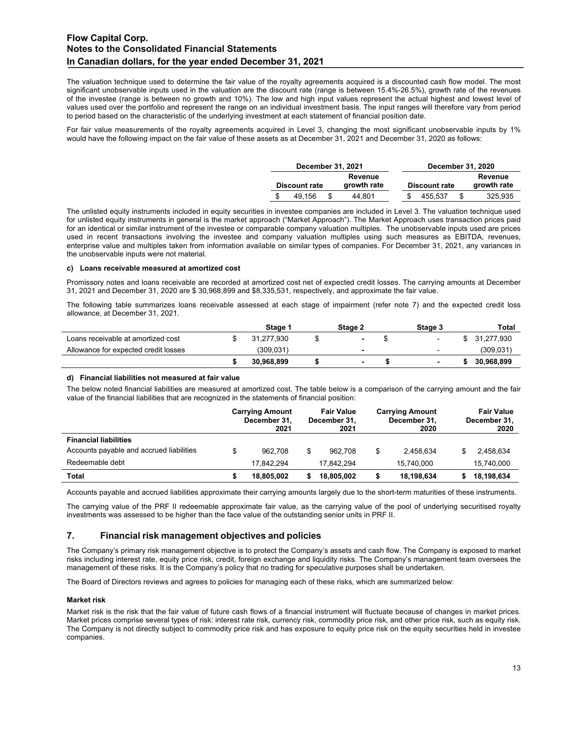The valuation technique used to determine the fair value of the royalty agreements acquired is a discounted cash flow model. The most significant unobservable inputs used in the valuation are the discount rate (range is between 15.4%-26.5%), growth rate of the revenues of the investee (range is between no growth and 10%). The low and high input values represent the actual highest and lowest level of values used over the portfolio and represent the range on an individual investment basis. The input ranges will therefore vary from period to period based on the characteristic of the underlying investment at each statement of financial position date.

For fair value measurements of the royalty agreements acquired in Level 3, changing the most significant unobservable inputs by 1% would have the following impact on the fair value of these assets as at December 31, 2021 and December 31, 2020 as follows:

| December 31, 2021    |                        |  | <b>December 31, 2020</b> |                        |
|----------------------|------------------------|--|--------------------------|------------------------|
| <b>Discount rate</b> | Revenue<br>growth rate |  | <b>Discount rate</b>     | Revenue<br>growth rate |
| 49.156               | 44.801                 |  | 455.537                  | 325.935                |

The unlisted equity instruments included in equity securities in investee companies are included in Level 3. The valuation technique used for unlisted equity instruments in general is the market approach ("Market Approach"). The Market Approach uses transaction prices paid for an identical or similar instrument of the investee or comparable company valuation multiples. The unobservable inputs used are prices used in recent transactions involving the investee and company valuation multiples using such measures as EBITDA, revenues, enterprise value and multiples taken from information available on similar types of companies. For December 31, 2021, any variances in the unobservable inputs were not material.

### **c) Loans receivable measured at amortized cost**

Promissory notes and loans receivable are recorded at amortized cost net of expected credit losses. The carrying amounts at December 31, 2021 and December 31, 2020 are \$ 30,968,899 and \$8,335,531, respectively, and approximate the fair value.

The following table summarizes loans receivable assessed at each stage of impairment (refer note 7) and the expected credit loss allowance, at December 31, 2021.

|                                      | Stage 1    | Stage 2                  | Stage 3                  | Total        |
|--------------------------------------|------------|--------------------------|--------------------------|--------------|
| Loans receivable at amortized cost   | 31.277.930 | ۰.                       | $\overline{\phantom{a}}$ | \$31.277.930 |
| Allowance for expected credit losses | (309.031)  | $\overline{\phantom{0}}$ | $\overline{\phantom{0}}$ | (309.031)    |
|                                      | 30.968.899 |                          | $\sim$                   | 30.968.899   |

### **d) Financial liabilities not measured at fair value**

The below noted financial liabilities are measured at amortized cost. The table below is a comparison of the carrying amount and the fair value of the financial liabilities that are recognized in the statements of financial position:

|                                          | <b>Carrying Amount</b><br>December 31,<br>2021 | <b>Fair Value</b><br>December 31,<br>2021 |    | <b>Carrying Amount</b><br>December 31,<br>2020 | <b>Fair Value</b><br>December 31,<br>2020 |
|------------------------------------------|------------------------------------------------|-------------------------------------------|----|------------------------------------------------|-------------------------------------------|
| <b>Financial liabilities</b>             |                                                |                                           |    |                                                |                                           |
| Accounts payable and accrued liabilities | \$<br>962.708                                  | \$<br>962.708                             | \$ | 2.458.634                                      | 2,458,634                                 |
| Redeemable debt                          | 17.842.294                                     | 17.842.294                                |    | 15.740.000                                     | 15,740,000                                |
| Total                                    | 18,805,002                                     | 18.805.002                                | S  | 18,198,634                                     | 18,198,634                                |

Accounts payable and accrued liabilities approximate their carrying amounts largely due to the short-term maturities of these instruments.

The carrying value of the PRF II redeemable approximate fair value, as the carrying value of the pool of underlying securitised royalty investments was assessed to be higher than the face value of the outstanding senior units in PRF II.

### **7. Financial risk management objectives and policies**

The Company's primary risk management objective is to protect the Company's assets and cash flow. The Company is exposed to market risks including interest rate, equity price risk, credit, foreign exchange and liquidity risks. The Company's management team oversees the management of these risks. It is the Company's policy that no trading for speculative purposes shall be undertaken.

The Board of Directors reviews and agrees to policies for managing each of these risks, which are summarized below:

### **Market risk**

Market risk is the risk that the fair value of future cash flows of a financial instrument will fluctuate because of changes in market prices. Market prices comprise several types of risk: interest rate risk, currency risk, commodity price risk, and other price risk, such as equity risk. The Company is not directly subject to commodity price risk and has exposure to equity price risk on the equity securities held in investee companies.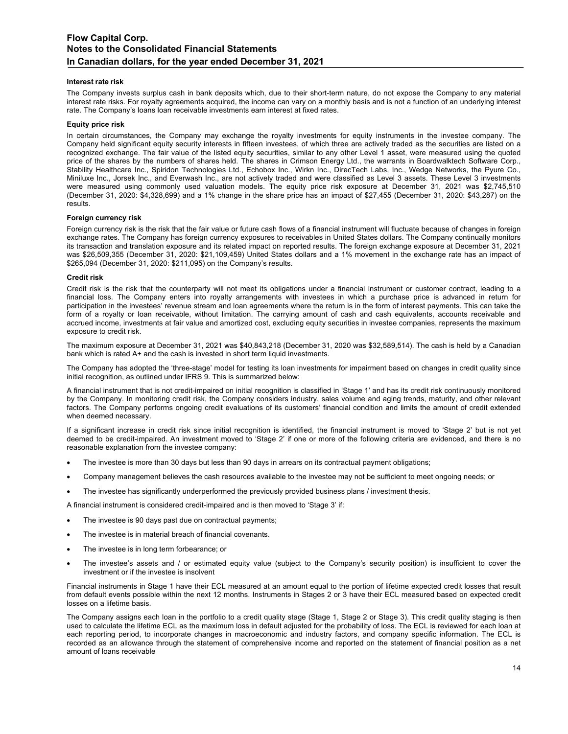### **Interest rate risk**

The Company invests surplus cash in bank deposits which, due to their short-term nature, do not expose the Company to any material interest rate risks. For royalty agreements acquired, the income can vary on a monthly basis and is not a function of an underlying interest rate. The Company's loans loan receivable investments earn interest at fixed rates.

### **Equity price risk**

In certain circumstances, the Company may exchange the royalty investments for equity instruments in the investee company. The Company held significant equity security interests in fifteen investees, of which three are actively traded as the securities are listed on a recognized exchange. The fair value of the listed equity securities, similar to any other Level 1 asset, were measured using the quoted price of the shares by the numbers of shares held. The shares in Crimson Energy Ltd., the warrants in Boardwalktech Software Corp., Stability Healthcare Inc., Spiridon Technologies Ltd., Echobox Inc., Wirkn Inc., DirecTech Labs, Inc., Wedge Networks, the Pyure Co., Miniluxe Inc., Jorsek Inc., and Everwash Inc., are not actively traded and were classified as Level 3 assets. These Level 3 investments were measured using commonly used valuation models. The equity price risk exposure at December 31, 2021 was \$2,745,510 (December 31, 2020: \$4,328,699) and a 1% change in the share price has an impact of \$27,455 (December 31, 2020: \$43,287) on the results.

#### **Foreign currency risk**

Foreign currency risk is the risk that the fair value or future cash flows of a financial instrument will fluctuate because of changes in foreign exchange rates. The Company has foreign currency exposures to receivables in United States dollars. The Company continually monitors its transaction and translation exposure and its related impact on reported results. The foreign exchange exposure at December 31, 2021 was \$26,509,355 (December 31, 2020: \$21,109,459) United States dollars and a 1% movement in the exchange rate has an impact of \$265,094 (December 31, 2020: \$211,095) on the Company's results.

#### **Credit risk**

Credit risk is the risk that the counterparty will not meet its obligations under a financial instrument or customer contract, leading to a financial loss. The Company enters into royalty arrangements with investees in which a purchase price is advanced in return for participation in the investees' revenue stream and loan agreements where the return is in the form of interest payments. This can take the form of a royalty or loan receivable, without limitation. The carrying amount of cash and cash equivalents, accounts receivable and accrued income, investments at fair value and amortized cost, excluding equity securities in investee companies, represents the maximum exposure to credit risk.

The maximum exposure at December 31, 2021 was \$40,843,218 (December 31, 2020 was \$32,589,514). The cash is held by a Canadian bank which is rated A+ and the cash is invested in short term liquid investments.

The Company has adopted the 'three-stage' model for testing its loan investments for impairment based on changes in credit quality since initial recognition, as outlined under IFRS 9. This is summarized below:

A financial instrument that is not credit-impaired on initial recognition is classified in 'Stage 1' and has its credit risk continuously monitored by the Company. In monitoring credit risk, the Company considers industry, sales volume and aging trends, maturity, and other relevant factors. The Company performs ongoing credit evaluations of its customers' financial condition and limits the amount of credit extended when deemed necessary.

If a significant increase in credit risk since initial recognition is identified, the financial instrument is moved to 'Stage 2' but is not yet deemed to be credit-impaired. An investment moved to 'Stage 2' if one or more of the following criteria are evidenced, and there is no reasonable explanation from the investee company:

- The investee is more than 30 days but less than 90 days in arrears on its contractual payment obligations;
- Company management believes the cash resources available to the investee may not be sufficient to meet ongoing needs; or
- The investee has significantly underperformed the previously provided business plans / investment thesis.

A financial instrument is considered credit-impaired and is then moved to 'Stage 3' if:

- The investee is 90 days past due on contractual payments;
- The investee is in material breach of financial covenants.
- The investee is in long term forbearance; or
- The investee's assets and / or estimated equity value (subject to the Company's security position) is insufficient to cover the investment or if the investee is insolvent

Financial instruments in Stage 1 have their ECL measured at an amount equal to the portion of lifetime expected credit losses that result from default events possible within the next 12 months. Instruments in Stages 2 or 3 have their ECL measured based on expected credit losses on a lifetime basis.

The Company assigns each loan in the portfolio to a credit quality stage (Stage 1, Stage 2 or Stage 3). This credit quality staging is then used to calculate the lifetime ECL as the maximum loss in default adjusted for the probability of loss. The ECL is reviewed for each loan at each reporting period, to incorporate changes in macroeconomic and industry factors, and company specific information. The ECL is recorded as an allowance through the statement of comprehensive income and reported on the statement of financial position as a net amount of loans receivable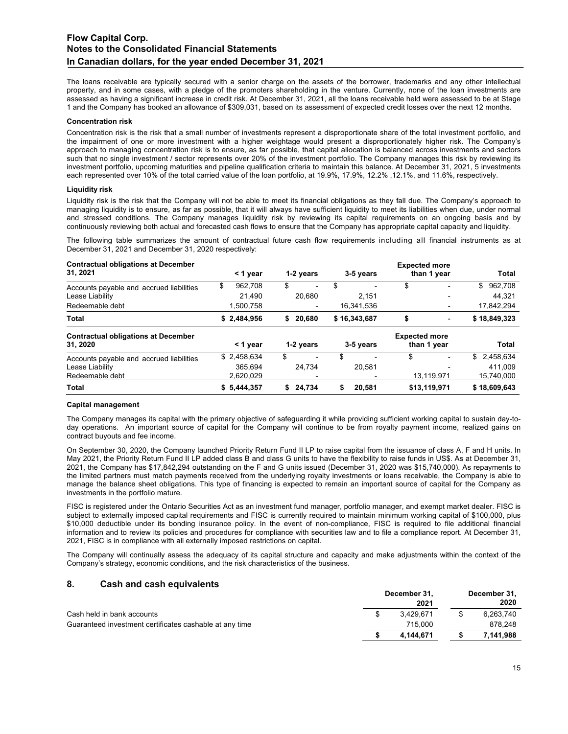The loans receivable are typically secured with a senior charge on the assets of the borrower, trademarks and any other intellectual property, and in some cases, with a pledge of the promoters shareholding in the venture. Currently, none of the loan investments are assessed as having a significant increase in credit risk. At December 31, 2021, all the loans receivable held were assessed to be at Stage 1 and the Company has booked an allowance of \$309,031, based on its assessment of expected credit losses over the next 12 months.

### **Concentration risk**

Concentration risk is the risk that a small number of investments represent a disproportionate share of the total investment portfolio, and the impairment of one or more investment with a higher weightage would present a disproportionately higher risk. The Company's approach to managing concentration risk is to ensure, as far possible, that capital allocation is balanced across investments and sectors such that no single investment / sector represents over 20% of the investment portfolio. The Company manages this risk by reviewing its investment portfolio, upcoming maturities and pipeline qualification criteria to maintain this balance. At December 31, 2021, 5 investments each represented over 10% of the total carried value of the loan portfolio, at 19.9%, 17.9%, 12.2% ,12.1%, and 11.6%, respectively.

### **Liquidity risk**

Liquidity risk is the risk that the Company will not be able to meet its financial obligations as they fall due. The Company's approach to managing liquidity is to ensure, as far as possible, that it will always have sufficient liquidity to meet its liabilities when due, under normal and stressed conditions. The Company manages liquidity risk by reviewing its capital requirements on an ongoing basis and by continuously reviewing both actual and forecasted cash flows to ensure that the Company has appropriate capital capacity and liquidity.

The following table summarizes the amount of contractual future cash flow requirements including all financial instruments as at December 31, 2021 and December 31, 2020 respectively:

| <b>Contractual obligations at December</b><br>31.2021                          | $<$ 1 year                           | 1-2 years                                | 3-5 years                 | <b>Expected more</b><br>than 1 year | Total                                     |
|--------------------------------------------------------------------------------|--------------------------------------|------------------------------------------|---------------------------|-------------------------------------|-------------------------------------------|
| Accounts payable and accrued liabilities<br>Lease Liability<br>Redeemable debt | \$<br>962,708<br>21.490<br>1,500,758 | \$<br>20.680<br>$\overline{\phantom{a}}$ | \$<br>2.151<br>16,341,536 | \$<br>$\overline{\phantom{0}}$      | \$<br>962,708<br>44.321<br>17,842,294     |
| Total                                                                          | \$2,484,956                          | \$20.680                                 | \$16,343,687              | \$<br>$\overline{\phantom{a}}$      | \$18,849,323                              |
| <b>Contractual obligations at December</b><br>31.2020                          | $<$ 1 year                           | 1-2 years                                | 3-5 years                 | <b>Expected more</b><br>than 1 year | Total                                     |
| Accounts payable and accrued liabilities<br>Lease Liability<br>Redeemable debt | \$2,458,634<br>365.694<br>2,620,029  | \$<br>24.734                             | \$<br>20.581              | \$<br>13,119,971                    | \$.<br>2,458,634<br>411.009<br>15,740,000 |
| Total                                                                          | \$5.444.357                          | \$24.734                                 | 20.581<br>\$              | \$13.119.971                        | \$18,609,643                              |

### **Capital management**

The Company manages its capital with the primary objective of safeguarding it while providing sufficient working capital to sustain day-today operations. An important source of capital for the Company will continue to be from royalty payment income, realized gains on contract buyouts and fee income.

On September 30, 2020, the Company launched Priority Return Fund II LP to raise capital from the issuance of class A, F and H units. In May 2021, the Priority Return Fund II LP added class B and class G units to have the flexibility to raise funds in US\$. As at December 31, 2021, the Company has \$17,842,294 outstanding on the F and G units issued (December 31, 2020 was \$15,740,000). As repayments to the limited partners must match payments received from the underlying royalty investments or loans receivable, the Company is able to manage the balance sheet obligations. This type of financing is expected to remain an important source of capital for the Company as investments in the portfolio mature.

FISC is registered under the Ontario Securities Act as an investment fund manager, portfolio manager, and exempt market dealer. FISC is subject to externally imposed capital requirements and FISC is currently required to maintain minimum working capital of \$100,000, plus \$10,000 deductible under its bonding insurance policy. In the event of non-compliance, FISC is required to file additional financial information and to review its policies and procedures for compliance with securities law and to file a compliance report. At December 31, 2021, FISC is in compliance with all externally imposed restrictions on capital.

The Company will continually assess the adequacy of its capital structure and capacity and make adjustments within the context of the Company's strategy, economic conditions, and the risk characteristics of the business.

### **8. Cash and cash equivalents**

|                                                         | December 31.<br>2021 | December 31.<br>2020 |  |  |
|---------------------------------------------------------|----------------------|----------------------|--|--|
| Cash held in bank accounts                              | 3.429.671            | 6.263.740            |  |  |
| Guaranteed investment certificates cashable at any time | 715.000              | 878.248              |  |  |
|                                                         | 4,144,671            | 7,141,988            |  |  |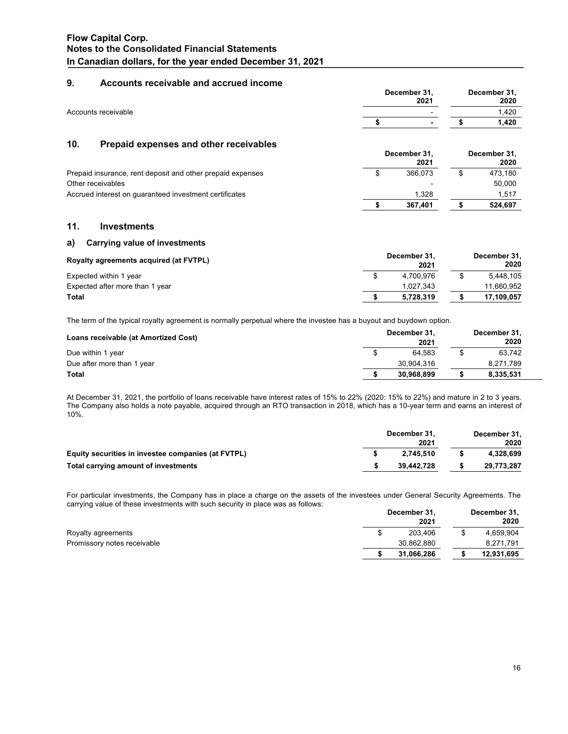## **9. Accounts receivable and accrued income**

| J.  | ACCOUNTS TECENDING AND ACCIDED INCOME  | December 31,<br>2021 | December 31,<br>2020 |
|-----|----------------------------------------|----------------------|----------------------|
|     | Accounts receivable                    |                      | 1.420                |
|     |                                        |                      | 1.420                |
| 10. | Prepaid expenses and other receivables |                      |                      |

#### **December 31, 2021 December 31, 2020** Prepaid insurance, rent deposit and other prepaid expenses  $\frac{1}{3}$   $\frac{1}{3}$   $\frac{366,073}{3}$   $\frac{473,180}{3}$ Other receivables 50,000 Accrued interest on guaranteed investment certificates 1,517 1,328 1,517 **\$ 367,401 \$ 524,697**

# **11. Investments**

### **a) Carrying value of investments**

| Royalty agreements acquired (at FVTPL) | December 31.<br>2021 |  |            |
|----------------------------------------|----------------------|--|------------|
| Expected within 1 year                 | 4.700.976            |  | 5.448.105  |
| Expected after more than 1 year        | 1.027.343            |  | 11,660,952 |
| Total                                  | 5.728.319            |  | 17,109,057 |

The term of the typical royalty agreement is normally perpetual where the investee has a buyout and buydown option.

| Loans receivable (at Amortized Cost) | December 31.<br>2021 |  |           |
|--------------------------------------|----------------------|--|-----------|
| Due within 1 year                    | 64.583               |  | 63.742    |
| Due after more than 1 year           | 30.904.316           |  | 8,271,789 |
| Total                                | 30.968.899           |  | 8,335,531 |

At December 31, 2021, the portfolio of loans receivable have interest rates of 15% to 22% (2020: 15% to 22%) and mature in 2 to 3 years. The Company also holds a note payable, acquired through an RTO transaction in 2018, which has a 10-year term and earns an interest of 10%.

|                                                    | December 31.<br>2021 | December 31.<br>2020 |
|----------------------------------------------------|----------------------|----------------------|
| Equity securities in investee companies (at FVTPL) | 2.745.510            | 4.328.699            |
| Total carrying amount of investments               | 39.442.728           | 29.773.287           |

For particular investments, the Company has in place a charge on the assets of the investees under General Security Agreements. The carrying value of these investments with such security in place was as follows:

|                             | December 31,<br>2021 | December 31,<br>2020 |
|-----------------------------|----------------------|----------------------|
| Royalty agreements          | 203.406              | 4,659,904            |
| Promissory notes receivable | 30.862.880           | 8,271,791            |
|                             | 31,066,286           | 12,931,695           |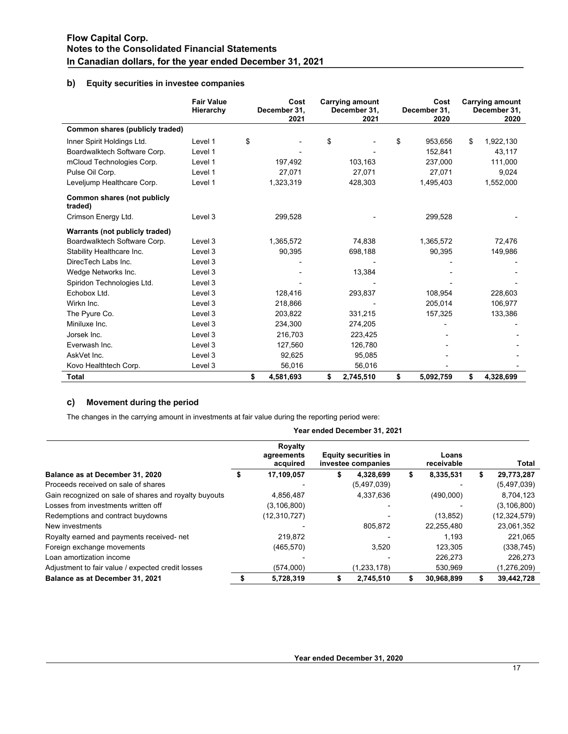# **b) Equity securities in investee companies**

|                                        | <b>Fair Value</b><br>Hierarchy | Cost<br>December 31.<br>2021 | <b>Carrying amount</b><br>December 31,<br>2021 |    | Cost<br>December 31,<br>2020 |    | <b>Carrying amount</b><br>December 31,<br>2020 |
|----------------------------------------|--------------------------------|------------------------------|------------------------------------------------|----|------------------------------|----|------------------------------------------------|
| Common shares (publicly traded)        |                                |                              |                                                |    |                              |    |                                                |
| Inner Spirit Holdings Ltd.             | Level 1                        | \$                           | \$                                             | \$ | 953,656                      | \$ | 1,922,130                                      |
| Boardwalktech Software Corp.           | Level 1                        |                              |                                                |    | 152,841                      |    | 43,117                                         |
| mCloud Technologies Corp.              | Level 1                        | 197,492                      | 103,163                                        |    | 237,000                      |    | 111,000                                        |
| Pulse Oil Corp.                        | Level 1                        | 27.071                       | 27.071                                         |    | 27.071                       |    | 9,024                                          |
| Leveljump Healthcare Corp.             | Level 1                        | 1,323,319                    | 428,303                                        |    | 1,495,403                    |    | 1,552,000                                      |
| Common shares (not publicly<br>traded) |                                |                              |                                                |    |                              |    |                                                |
| Crimson Energy Ltd.                    | Level 3                        | 299,528                      |                                                |    | 299,528                      |    |                                                |
| Warrants (not publicly traded)         |                                |                              |                                                |    |                              |    |                                                |
| Boardwalktech Software Corp.           | Level 3                        | 1,365,572                    | 74,838                                         |    | 1,365,572                    |    | 72,476                                         |
| Stability Healthcare Inc.              | Level 3                        | 90,395                       | 698,188                                        |    | 90,395                       |    | 149,986                                        |
| DirecTech Labs Inc.                    | Level 3                        |                              |                                                |    |                              |    |                                                |
| Wedge Networks Inc.                    | Level 3                        |                              | 13,384                                         |    |                              |    |                                                |
| Spiridon Technologies Ltd.             | Level 3                        |                              |                                                |    |                              |    |                                                |
| Echobox Ltd.                           | Level 3                        | 128,416                      | 293,837                                        |    | 108,954                      |    | 228,603                                        |
| Wirkn Inc.                             | Level 3                        | 218,866                      |                                                |    | 205,014                      |    | 106,977                                        |
| The Pyure Co.                          | Level 3                        | 203.822                      | 331.215                                        |    | 157,325                      |    | 133,386                                        |
| Miniluxe Inc.                          | Level 3                        | 234,300                      | 274,205                                        |    |                              |    |                                                |
| Jorsek Inc.                            | Level 3                        | 216,703                      | 223,425                                        |    |                              |    |                                                |
| Everwash Inc.                          | Level 3                        | 127,560                      | 126,780                                        |    |                              |    |                                                |
| AskVet Inc.                            | Level 3                        | 92,625                       | 95,085                                         |    |                              |    |                                                |
| Kovo Healthtech Corp.                  | Level 3                        | 56,016                       | 56,016                                         |    |                              |    |                                                |
| <b>Total</b>                           |                                | \$<br>4,581,693              | \$<br>2,745,510                                | \$ | 5,092,759                    | \$ | 4,328,699                                      |

# **c) Movement during the period**

The changes in the carrying amount in investments at fair value during the reporting period were:

|                                                       | Year ended December 31, 2021 |                                   |    |                                                   |   |                     |    |                |  |
|-------------------------------------------------------|------------------------------|-----------------------------------|----|---------------------------------------------------|---|---------------------|----|----------------|--|
|                                                       |                              | Royalty<br>agreements<br>acquired |    | <b>Equity securities in</b><br>investee companies |   | Loans<br>receivable |    | Total          |  |
| Balance as at December 31, 2020                       |                              | 17,109,057                        | \$ | 4,328,699                                         | S | 8,335,531           | \$ | 29,773,287     |  |
| Proceeds received on sale of shares                   |                              |                                   |    | (5,497,039)                                       |   |                     |    | (5,497,039)    |  |
| Gain recognized on sale of shares and royalty buyouts |                              | 4,856,487                         |    | 4,337,636                                         |   | (490,000)           |    | 8,704,123      |  |
| Losses from investments written off                   |                              | (3, 106, 800)                     |    |                                                   |   |                     |    | (3, 106, 800)  |  |
| Redemptions and contract buydowns                     |                              | (12, 310, 727)                    |    |                                                   |   | (13, 852)           |    | (12, 324, 579) |  |
| New investments                                       |                              |                                   |    | 805,872                                           |   | 22,255,480          |    | 23,061,352     |  |
| Royalty earned and payments received- net             |                              | 219,872                           |    |                                                   |   | 1.193               |    | 221,065        |  |
| Foreign exchange movements                            |                              | (465, 570)                        |    | 3,520                                             |   | 123,305             |    | (338, 745)     |  |
| Loan amortization income                              |                              |                                   |    |                                                   |   | 226.273             |    | 226,273        |  |
| Adjustment to fair value / expected credit losses     |                              | (574,000)                         |    | (1,233,178)                                       |   | 530,969             |    | (1,276,209)    |  |
| Balance as at December 31, 2021                       |                              | 5,728,319                         | S  | 2,745,510                                         |   | 30.968.899          |    | 39,442,728     |  |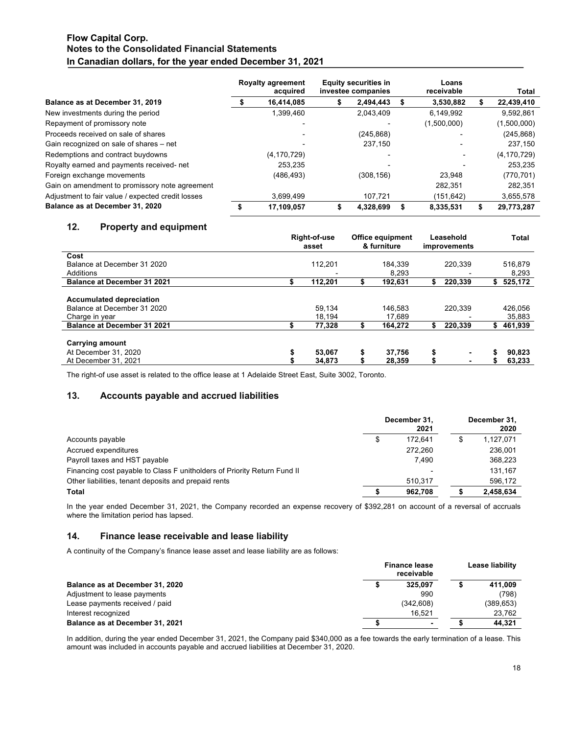|                                                   | <b>Royalty agreement</b><br>acquired | <b>Equity securities in</b><br>investee companies |            | Loans<br>receivable |             |   | Total         |
|---------------------------------------------------|--------------------------------------|---------------------------------------------------|------------|---------------------|-------------|---|---------------|
| Balance as at December 31, 2019                   | 16,414,085                           |                                                   | 2.494.443  |                     | 3,530,882   |   | 22,439,410    |
| New investments during the period                 | 1.399.460                            |                                                   | 2,043,409  |                     | 6.149.992   |   | 9.592.861     |
| Repayment of promissory note                      |                                      |                                                   |            |                     | (1,500,000) |   | (1,500,000)   |
| Proceeds received on sale of shares               |                                      |                                                   | (245, 868) |                     |             |   | (245, 868)    |
| Gain recognized on sale of shares - net           |                                      |                                                   | 237.150    |                     |             |   | 237,150       |
| Redemptions and contract buydowns                 | (4, 170, 729)                        |                                                   |            |                     |             |   | (4, 170, 729) |
| Royalty earned and payments received- net         | 253,235                              |                                                   |            |                     |             |   | 253.235       |
| Foreign exchange movements                        | (486, 493)                           |                                                   | (308, 156) |                     | 23.948      |   | (770, 701)    |
| Gain on amendment to promissory note agreement    |                                      |                                                   |            |                     | 282.351     |   | 282.351       |
| Adjustment to fair value / expected credit losses | 3,699,499                            |                                                   | 107.721    |                     | (151, 642)  |   | 3,655,578     |
| Balance as at December 31, 2020                   | 17.109.057                           | \$                                                | 4.328.699  |                     | 8.335.531   | S | 29.773.287    |

# **12. Property and equipment**

|                                    | Right-of-use<br>asset | <b>Office equipment</b><br>& furniture |    | Leasehold<br>improvements |    | Total   |
|------------------------------------|-----------------------|----------------------------------------|----|---------------------------|----|---------|
| Cost                               |                       |                                        |    |                           |    |         |
| Balance at December 31 2020        | 112.201               | 184.339                                |    | 220.339                   |    | 516.879 |
| Additions                          |                       | 8.293                                  |    |                           |    | 8,293   |
| <b>Balance at December 31 2021</b> | 112.201               | 192.631                                | S  | 220.339                   | \$ | 525,172 |
| <b>Accumulated depreciation</b>    |                       |                                        |    |                           |    |         |
| Balance at December 31 2020        | 59.134                | 146.583                                |    | 220.339                   |    | 426,056 |
| Charge in year                     | 18.194                | 17.689                                 |    |                           |    | 35,883  |
| <b>Balance at December 31 2021</b> | 77.328                | 164.272                                |    | 220.339                   | \$ | 461,939 |
| <b>Carrying amount</b>             |                       |                                        |    |                           |    |         |
| At December 31, 2020               | \$<br>53.067          | 37,756                                 | \$ | $\blacksquare$            |    | 90,823  |
| At December 31, 2021               | 34.873                | 28,359                                 |    | ۰                         | S  | 63,233  |

The right-of use asset is related to the office lease at 1 Adelaide Street East, Suite 3002, Toronto.

# **13. Accounts payable and accrued liabilities**

|                                                                          |   | December 31.<br>2021 | December 31.<br>2020 |           |  |
|--------------------------------------------------------------------------|---|----------------------|----------------------|-----------|--|
| Accounts payable                                                         | S | 172.641              | J                    | 1.127.071 |  |
| Accrued expenditures                                                     |   | 272.260              |                      | 236,001   |  |
| Payroll taxes and HST payable                                            |   | 7.490                |                      | 368,223   |  |
| Financing cost payable to Class F unitholders of Priority Return Fund II |   |                      |                      | 131.167   |  |
| Other liabilities, tenant deposits and prepaid rents                     |   | 510.317              |                      | 596,172   |  |
| Total                                                                    |   | 962.708              |                      | 2,458,634 |  |

In the year ended December 31, 2021, the Company recorded an expense recovery of \$392,281 on account of a reversal of accruals where the limitation period has lapsed.

# **14. Finance lease receivable and lease liability**

A continuity of the Company's finance lease asset and lease liability are as follows:

|                                        | <b>Finance lease</b><br>receivable |           | Lease liability |            |
|----------------------------------------|------------------------------------|-----------|-----------------|------------|
| <b>Balance as at December 31, 2020</b> |                                    | 325.097   |                 | 411.009    |
| Adjustment to lease payments           |                                    | 990       |                 | (798)      |
| Lease payments received / paid         |                                    | (342,608) |                 | (389, 653) |
| Interest recognized                    |                                    | 16.521    |                 | 23.762     |
| Balance as at December 31, 2021        |                                    |           |                 | 44.321     |

In addition, during the year ended December 31, 2021, the Company paid \$340,000 as a fee towards the early termination of a lease. This amount was included in accounts payable and accrued liabilities at December 31, 2020.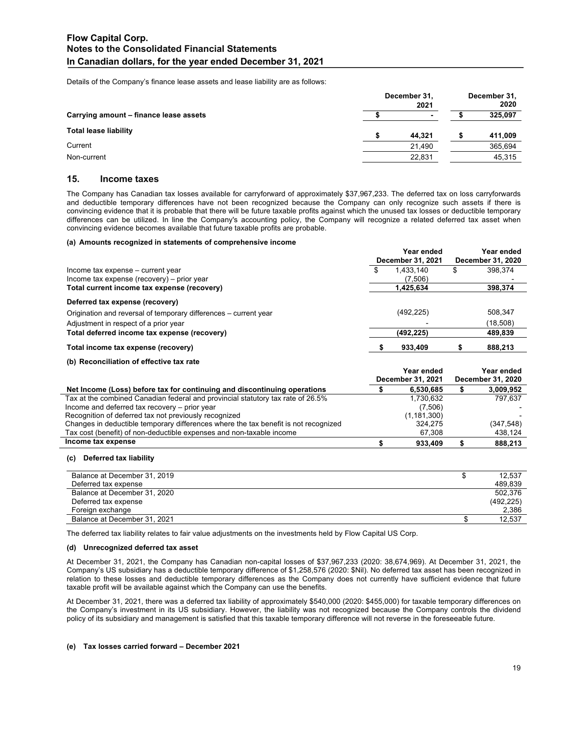Details of the Company's finance lease assets and lease liability are as follows:

|                                        | December 31,<br>2021 |  |         |
|----------------------------------------|----------------------|--|---------|
| Carrying amount - finance lease assets |                      |  | 325,097 |
| <b>Total lease liability</b>           | 44.321               |  | 411,009 |
| Current                                | 21.490               |  | 365,694 |
| Non-current                            | 22,831               |  | 45,315  |

### **15. Income taxes**

The Company has Canadian tax losses available for carryforward of approximately \$37,967,233. The deferred tax on loss carryforwards and deductible temporary differences have not been recognized because the Company can only recognize such assets if there is convincing evidence that it is probable that there will be future taxable profits against which the unused tax losses or deductible temporary differences can be utilized. In line the Company's accounting policy, the Company will recognize a related deferred tax asset when convincing evidence becomes available that future taxable profits are probable.

### **(a) Amounts recognized in statements of comprehensive income**

|                                                                  | Year ended<br><b>December 31, 2021</b> |   | Year ended<br>December 31, 2020 |
|------------------------------------------------------------------|----------------------------------------|---|---------------------------------|
| Income tax expense – current year                                | 1.433.140<br>C                         | J | 398.374                         |
| Income tax expense (recovery) – prior year                       | (7,506)                                |   |                                 |
| Total current income tax expense (recovery)                      | 1,425,634                              |   | 398,374                         |
| Deferred tax expense (recovery)                                  |                                        |   |                                 |
| Origination and reversal of temporary differences – current year | (492, 225)                             |   | 508.347                         |
| Adjustment in respect of a prior year                            |                                        |   | (18, 508)                       |
| Total deferred income tax expense (recovery)                     | (492, 225)                             |   | 489,839                         |
| Total income tax expense (recovery)                              | 933,409                                |   | 888.213                         |

### **(b) Reconciliation of effective tax rate**

|                                                                                     | Year ended<br><b>December 31, 2021</b> | Year ended<br><b>December 31, 2020</b> |
|-------------------------------------------------------------------------------------|----------------------------------------|----------------------------------------|
| Net Income (Loss) before tax for continuing and discontinuing operations            | 6.530.685                              | 3.009.952                              |
| Tax at the combined Canadian federal and provincial statutory tax rate of 26.5%     | 1.730.632                              | 797.637                                |
| Income and deferred tax recovery – prior year                                       | (7,506)                                |                                        |
| Recognition of deferred tax not previously recognized                               | (1, 181, 300)                          |                                        |
| Changes in deductible temporary differences where the tax benefit is not recognized | 324.275                                | (347, 548)                             |
| Tax cost (benefit) of non-deductible expenses and non-taxable income                | 67.308                                 | 438,124                                |
| Income tax expense                                                                  | 933.409                                | 888.213                                |

### **(c) Deferred tax liability**

| Balance at December 31, 2019 | 12.537     |
|------------------------------|------------|
| Deferred tax expense         | 489,839    |
| Balance at December 31, 2020 | 502.376    |
| Deferred tax expense         | (492, 225) |
| Foreign exchange             | 2,386      |
| Balance at December 31, 2021 | 12.537     |

The deferred tax liability relates to fair value adjustments on the investments held by Flow Capital US Corp.

### **(d) Unrecognized deferred tax asset**

At December 31, 2021, the Company has Canadian non-capital losses of \$37,967,233 (2020: 38,674,969). At December 31, 2021, the Company's US subsidiary has a deductible temporary difference of \$1,258,576 (2020: \$Nil). No deferred tax asset has been recognized in relation to these losses and deductible temporary differences as the Company does not currently have sufficient evidence that future taxable profit will be available against which the Company can use the benefits.

At December 31, 2021, there was a deferred tax liability of approximately \$540,000 (2020: \$455,000) for taxable temporary differences on the Company's investment in its US subsidiary. However, the liability was not recognized because the Company controls the dividend policy of its subsidiary and management is satisfied that this taxable temporary difference will not reverse in the foreseeable future.

### **(e) Tax losses carried forward – December 2021**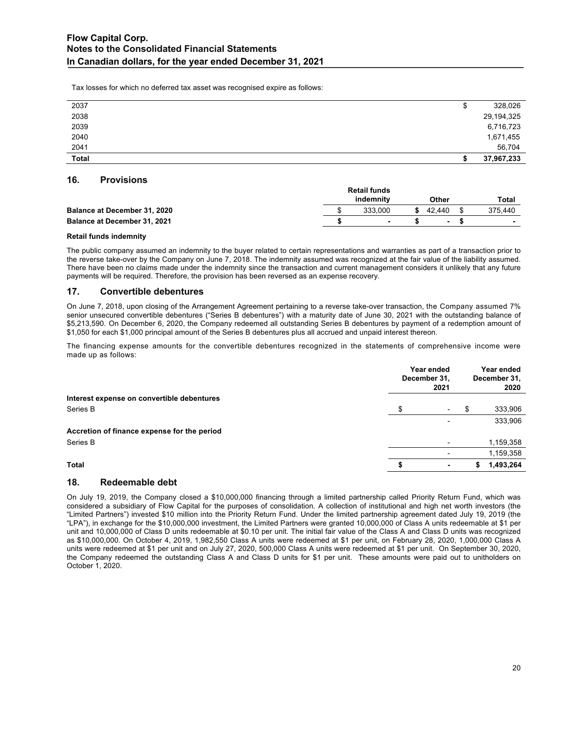Tax losses for which no deferred tax asset was recognised expire as follows:

| 2037         | ۰D | 328,026    |
|--------------|----|------------|
| 2038         |    | 29,194,325 |
| 2039         |    | 6,716,723  |
| 2040         |    | 1,671,455  |
| 2041         |    | 56,704     |
| <b>Total</b> |    | 37,967,233 |

### **16. Provisions**

|                                     | <b>Retail funds</b> |          |         |
|-------------------------------------|---------------------|----------|---------|
|                                     | indemnity           | Other    | Total   |
| <b>Balance at December 31, 2020</b> | 333,000             | \$42.440 | 375.440 |
| <b>Balance at December 31, 2021</b> | $\blacksquare$      |          |         |

### **Retail funds indemnity**

The public company assumed an indemnity to the buyer related to certain representations and warranties as part of a transaction prior to the reverse take-over by the Company on June 7, 2018. The indemnity assumed was recognized at the fair value of the liability assumed. There have been no claims made under the indemnity since the transaction and current management considers it unlikely that any future payments will be required. Therefore, the provision has been reversed as an expense recovery.

### **17. Convertible debentures**

On June 7, 2018, upon closing of the Arrangement Agreement pertaining to a reverse take-over transaction, the Company assumed 7% senior unsecured convertible debentures ("Series B debentures") with a maturity date of June 30, 2021 with the outstanding balance of \$5,213,590. On December 6, 2020, the Company redeemed all outstanding Series B debentures by payment of a redemption amount of \$1,050 for each \$1,000 principal amount of the Series B debentures plus all accrued and unpaid interest thereon.

The financing expense amounts for the convertible debentures recognized in the statements of comprehensive income were made up as follows:

|                                             | Year ended<br>December 31,<br>2021 | Year ended<br>December 31,<br>2020 |           |
|---------------------------------------------|------------------------------------|------------------------------------|-----------|
| Interest expense on convertible debentures  |                                    |                                    |           |
| Series B                                    | \$<br>$\overline{\phantom{a}}$     | \$.                                | 333,906   |
|                                             | $\overline{\phantom{a}}$           |                                    | 333,906   |
| Accretion of finance expense for the period |                                    |                                    |           |
| Series B                                    | $\overline{\phantom{0}}$           |                                    | 1,159,358 |
|                                             | $\overline{\phantom{a}}$           |                                    | 1,159,358 |
| Total                                       | \$<br>$\blacksquare$               |                                    | 1,493,264 |

### **18. Redeemable debt**

On July 19, 2019, the Company closed a \$10,000,000 financing through a limited partnership called Priority Return Fund, which was considered a subsidiary of Flow Capital for the purposes of consolidation. A collection of institutional and high net worth investors (the "Limited Partners") invested \$10 million into the Priority Return Fund. Under the limited partnership agreement dated July 19, 2019 (the "LPA"), in exchange for the \$10,000,000 investment, the Limited Partners were granted 10,000,000 of Class A units redeemable at \$1 per unit and 10,000,000 of Class D units redeemable at \$0.10 per unit. The initial fair value of the Class A and Class D units was recognized as \$10,000,000. On October 4, 2019, 1,982,550 Class A units were redeemed at \$1 per unit, on February 28, 2020, 1,000,000 Class A units were redeemed at \$1 per unit and on July 27, 2020, 500,000 Class A units were redeemed at \$1 per unit. On September 30, 2020, the Company redeemed the outstanding Class A and Class D units for \$1 per unit. These amounts were paid out to unitholders on October 1, 2020.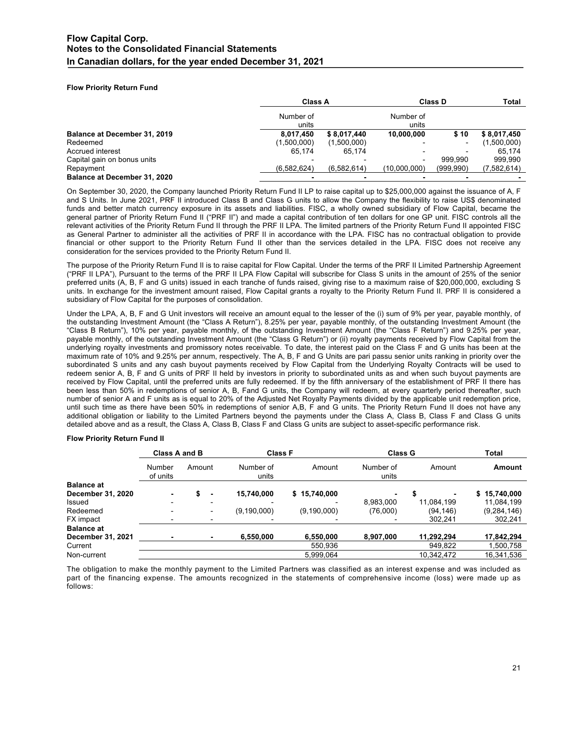### **Flow Priority Return Fund**

|                              | <b>Class A</b>     |               | <b>Class D</b>           | Total      |             |
|------------------------------|--------------------|---------------|--------------------------|------------|-------------|
|                              | Number of<br>units |               | Number of<br>units       |            |             |
| Balance at December 31, 2019 | 8.017.450          | \$8,017,440   | 10.000.000               | \$10       | \$8,017,450 |
| Redeemed                     | (1,500,000)        | (1,500,000)   |                          | -          | (1,500,000) |
| Accrued interest             | 65.174             | 65.174        | -                        |            | 65.174      |
| Capital gain on bonus units  |                    |               | $\overline{\phantom{0}}$ | 999.990    | 999.990     |
| Repayment                    | (6, 582, 624)      | (6, 582, 614) | (10.000.000)             | (999, 990) | (7,582,614) |
| Balance at December 31, 2020 |                    |               | ۰.                       |            |             |

On September 30, 2020, the Company launched Priority Return Fund II LP to raise capital up to \$25,000,000 against the issuance of A, F and S Units. In June 2021, PRF II introduced Class B and Class G units to allow the Company the flexibility to raise US\$ denominated funds and better match currency exposure in its assets and liabilities. FISC, a wholly owned subsidiary of Flow Capital, became the general partner of Priority Return Fund II ("PRF II") and made a capital contribution of ten dollars for one GP unit. FISC controls all the relevant activities of the Priority Return Fund II through the PRF II LPA. The limited partners of the Priority Return Fund II appointed FISC as General Partner to administer all the activities of PRF II in accordance with the LPA. FISC has no contractual obligation to provide financial or other support to the Priority Return Fund II other than the services detailed in the LPA. FISC does not receive any consideration for the services provided to the Priority Return Fund II.

The purpose of the Priority Return Fund II is to raise capital for Flow Capital. Under the terms of the PRF II Limited Partnership Agreement ("PRF II LPA"), Pursuant to the terms of the PRF II LPA Flow Capital will subscribe for Class S units in the amount of 25% of the senior preferred units (A, B, F and G units) issued in each tranche of funds raised, giving rise to a maximum raise of \$20,000,000, excluding S units. In exchange for the investment amount raised, Flow Capital grants a royalty to the Priority Return Fund II. PRF II is considered a subsidiary of Flow Capital for the purposes of consolidation.

Under the LPA, A, B, F and G Unit investors will receive an amount equal to the lesser of the (i) sum of 9% per year, payable monthly, of the outstanding Investment Amount (the "Class A Return"), 8.25% per year, payable monthly, of the outstanding Investment Amount (the "Class B Return"), 10% per year, payable monthly, of the outstanding Investment Amount (the "Class F Return") and 9.25% per year, payable monthly, of the outstanding Investment Amount (the "Class G Return") or (ii) royalty payments received by Flow Capital from the underlying royalty investments and promissory notes receivable. To date, the interest paid on the Class F and G units has been at the maximum rate of 10% and 9.25% per annum, respectively. The A, B, F and G Units are pari passu senior units ranking in priority over the subordinated S units and any cash buyout payments received by Flow Capital from the Underlying Royalty Contracts will be used to redeem senior A, B, F and G units of PRF II held by investors in priority to subordinated units as and when such buyout payments are received by Flow Capital, until the preferred units are fully redeemed. If by the fifth anniversary of the establishment of PRF II there has been less than 50% in redemptions of senior A, B, Fand G units, the Company will redeem, at every quarterly period thereafter, such number of senior A and F units as is equal to 20% of the Adjusted Net Royalty Payments divided by the applicable unit redemption price, until such time as there have been 50% in redemptions of senior A,B, F and G units. The Priority Return Fund II does not have any additional obligation or liability to the Limited Partners beyond the payments under the Class A, Class B, Class F and Class G units detailed above and as a result, the Class A, Class B, Class F and Class G units are subject to asset-specific performance risk.

### **Flow Priority Return Fund II**

|                   | Class A and B      |                          | <b>Class F</b>     |               | <b>Class G</b>     |            | <b>Total</b>  |
|-------------------|--------------------|--------------------------|--------------------|---------------|--------------------|------------|---------------|
|                   | Number<br>of units | Amount                   | Number of<br>units | Amount        | Number of<br>units | Amount     | Amount        |
| <b>Balance at</b> |                    |                          |                    |               |                    |            |               |
| December 31, 2020 | $\blacksquare$     | \$<br>٠                  | 15,740,000         | \$15,740,000  | ٠                  | S          | \$15,740,000  |
| Issued            |                    | -                        |                    |               | 8,983,000          | 11,084,199 | 11.084.199    |
| Redeemed          |                    | ٠                        | (9, 190, 000)      | (9, 190, 000) | (76,000)           | (94.146)   | (9, 284, 146) |
| FX impact         |                    | $\overline{\phantom{0}}$ |                    |               |                    | 302,241    | 302,241       |
| <b>Balance at</b> |                    |                          |                    |               |                    |            |               |
| December 31, 2021 |                    |                          | 6,550,000          | 6,550,000     | 8,907,000          | 11,292,294 | 17,842,294    |
| Current           |                    |                          |                    | 550,936       |                    | 949.822    | 1,500,758     |
| Non-current       |                    |                          |                    | 5,999,064     |                    | 10,342,472 | 16,341,536    |

The obligation to make the monthly payment to the Limited Partners was classified as an interest expense and was included as part of the financing expense. The amounts recognized in the statements of comprehensive income (loss) were made up as follows: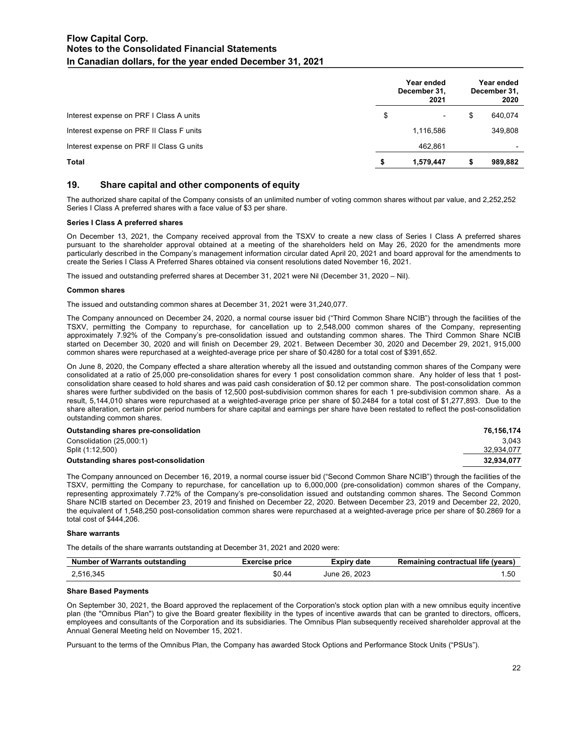|                                          | Year ended<br>December 31,<br>2021 |           |    | Year ended<br>December 31,<br>2020 |  |  |
|------------------------------------------|------------------------------------|-----------|----|------------------------------------|--|--|
| Interest expense on PRF I Class A units  | \$                                 | ۰.        | \$ | 640,074                            |  |  |
| Interest expense on PRF II Class F units |                                    | 1,116,586 |    | 349,808                            |  |  |
| Interest expense on PRF II Class G units |                                    | 462,861   |    |                                    |  |  |
| <b>Total</b>                             | \$                                 | 1.579.447 | S  | 989,882                            |  |  |

### **19. Share capital and other components of equity**

The authorized share capital of the Company consists of an unlimited number of voting common shares without par value, and 2,252,252 Series I Class A preferred shares with a face value of \$3 per share.

### **Series I Class A preferred shares**

On December 13, 2021, the Company received approval from the TSXV to create a new class of Series I Class A preferred shares pursuant to the shareholder approval obtained at a meeting of the shareholders held on May 26, 2020 for the amendments more particularly described in the Company's management information circular dated April 20, 2021 and board approval for the amendments to create the Series I Class A Preferred Shares obtained via consent resolutions dated November 16, 2021.

The issued and outstanding preferred shares at December 31, 2021 were Nil (December 31, 2020 – Nil).

#### **Common shares**

The issued and outstanding common shares at December 31, 2021 were 31,240,077.

The Company announced on December 24, 2020, a normal course issuer bid ("Third Common Share NCIB") through the facilities of the TSXV, permitting the Company to repurchase, for cancellation up to 2,548,000 common shares of the Company, representing approximately 7.92% of the Company's pre-consolidation issued and outstanding common shares. The Third Common Share NCIB started on December 30, 2020 and will finish on December 29, 2021. Between December 30, 2020 and December 29, 2021, 915,000 common shares were repurchased at a weighted-average price per share of \$0.4280 for a total cost of \$391,652.

On June 8, 2020, the Company effected a share alteration whereby all the issued and outstanding common shares of the Company were consolidated at a ratio of 25,000 pre-consolidation shares for every 1 post consolidation common share. Any holder of less that 1 postconsolidation share ceased to hold shares and was paid cash consideration of \$0.12 per common share. The post-consolidation common shares were further subdivided on the basis of 12,500 post-subdivision common shares for each 1 pre-subdivision common share. As a result, 5,144,010 shares were repurchased at a weighted-average price per share of \$0.2484 for a total cost of \$1,277,893. Due to the share alteration, certain prior period numbers for share capital and earnings per share have been restated to reflect the post-consolidation outstanding common shares.

| Outstanding shares pre-consolidation  | 76.156.174 |
|---------------------------------------|------------|
| Consolidation (25,000:1)              | 3.043      |
| Split (1:12,500)                      | 32.934.077 |
| Outstanding shares post-consolidation | 32.934.077 |

The Company announced on December 16, 2019, a normal course issuer bid ("Second Common Share NCIB") through the facilities of the TSXV, permitting the Company to repurchase, for cancellation up to 6,000,000 (pre-consolidation) common shares of the Company, representing approximately 7.72% of the Company's pre-consolidation issued and outstanding common shares. The Second Common Share NCIB started on December 23, 2019 and finished on December 22, 2020. Between December 23, 2019 and December 22, 2020, the equivalent of 1,548,250 post-consolidation common shares were repurchased at a weighted-average price per share of \$0.2869 for a total cost of \$444,206.

### **Share warrants**

The details of the share warrants outstanding at December 31, 2021 and 2020 were:

| Number of Warrants outstanding | <b>Exercise price</b> | Expirv<br>∵date | Remaining contractual life (vears) |
|--------------------------------|-----------------------|-----------------|------------------------------------|
| 2.516.345                      | \$0.44                | 2023<br>June 26 | . 50                               |

#### **Share Based Payments**

On September 30, 2021, the Board approved the replacement of the Corporation's stock option plan with a new omnibus equity incentive plan (the "Omnibus Plan") to give the Board greater flexibility in the types of incentive awards that can be granted to directors, officers, employees and consultants of the Corporation and its subsidiaries. The Omnibus Plan subsequently received shareholder approval at the Annual General Meeting held on November 15, 2021.

Pursuant to the terms of the Omnibus Plan, the Company has awarded Stock Options and Performance Stock Units ("PSUs").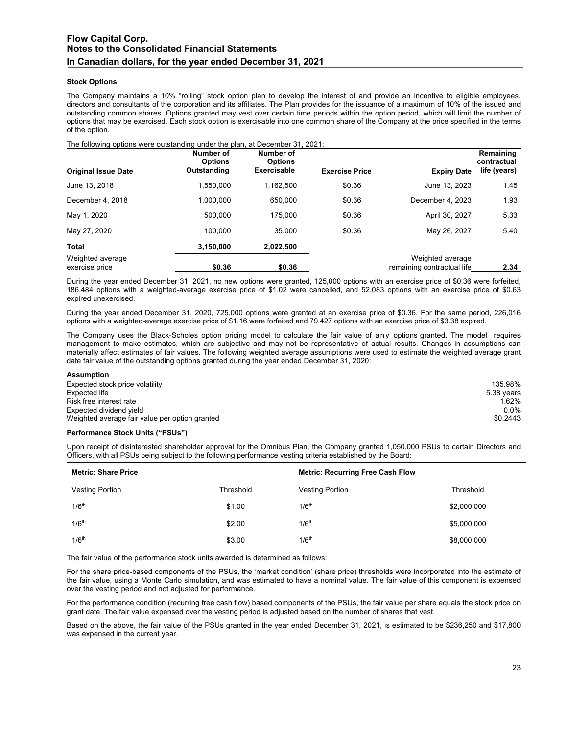### **Stock Options**

The Company maintains a 10% "rolling" stock option plan to develop the interest of and provide an incentive to eligible employees, directors and consultants of the corporation and its affiliates. The Plan provides for the issuance of a maximum of 10% of the issued and outstanding common shares. Options granted may vest over certain time periods within the option period, which will limit the number of options that may be exercised. Each stock option is exercisable into one common share of the Company at the price specified in the terms of the option.

The following options were outstanding under the plan, at December 31, 2021:

| ິ່<br><b>Original Issue Date</b>   | Number of<br><b>Options</b><br>Outstanding | Number of<br><b>Options</b><br><b>Exercisable</b> | <b>Exercise Price</b> | <b>Expiry Date</b>                             | Remaining<br>contractual<br>life (years) |
|------------------------------------|--------------------------------------------|---------------------------------------------------|-----------------------|------------------------------------------------|------------------------------------------|
| June 13, 2018                      | 1,550,000                                  | 1,162,500                                         | \$0.36                | June 13, 2023                                  | 1.45                                     |
| December 4, 2018                   | 1.000.000                                  | 650.000                                           | \$0.36                | December 4, 2023                               | 1.93                                     |
| May 1, 2020                        | 500.000                                    | 175.000                                           | \$0.36                | April 30, 2027                                 | 5.33                                     |
| May 27, 2020                       | 100.000                                    | 35.000                                            | \$0.36                | May 26, 2027                                   | 5.40                                     |
| Total                              | 3,150,000                                  | 2,022,500                                         |                       |                                                |                                          |
| Weighted average<br>exercise price | \$0.36                                     | \$0.36                                            |                       | Weighted average<br>remaining contractual life | 2.34                                     |

During the year ended December 31, 2021, no new options were granted, 125,000 options with an exercise price of \$0.36 were forfeited, 186,484 options with a weighted-average exercise price of \$1.02 were cancelled, and 52,083 options with an exercise price of \$0.63 expired unexercised.

During the year ended December 31, 2020, 725,000 options were granted at an exercise price of \$0.36. For the same period, 226,016 options with a weighted-average exercise price of \$1.16 were forfeited and 79,427 options with an exercise price of \$3.38 expired.

The Company uses the Black-Scholes option pricing model to calculate the fair value of any options granted. The model requires management to make estimates, which are subjective and may not be representative of actual results. Changes in assumptions can materially affect estimates of fair values. The following weighted average assumptions were used to estimate the weighted average grant date fair value of the outstanding options granted during the year ended December 31, 2020:

### **Assumption**

Expected stock price volatility 135.98% Expected life 5.38 years 5.38 years and the set of the set of the set of the set of the set of the set of the set of the set of the set of the set of the set of the set of the set of the set of the set of the set of the se Risk free interest rate 1.62% and 1.62% and 1.62% and 1.62% and 1.62% and 1.62% and 1.62% and 1.62% and 1.62% and 1.62% and 1.62% and 1.62% and 1.62% and 1.62% and 1.62% and 1.62% and 1.62% and 1.62% and 1.62% and 1.62% an Expected dividend yield 0.0% Weighted average fair value per option granted **by a strategies of the strategies of the strategies**  $\text{\$0.2443}$ 

### **Performance Stock Units ("PSUs")**

Upon receipt of disinterested shareholder approval for the Omnibus Plan, the Company granted 1,050,000 PSUs to certain Directors and Officers, with all PSUs being subject to the following performance vesting criteria established by the Board:

| <b>Metric: Share Price</b> |           | <b>Metric: Recurring Free Cash Flow</b> |             |
|----------------------------|-----------|-----------------------------------------|-------------|
| <b>Vesting Portion</b>     | Threshold | <b>Vesting Portion</b>                  | Threshold   |
| 1/6 <sup>th</sup>          | \$1.00    | 1/6 <sup>th</sup>                       | \$2,000,000 |
| $1/6^{th}$                 | \$2.00    | 1/6 <sup>th</sup>                       | \$5,000,000 |
| 1/6 <sup>th</sup>          | \$3.00    | 1/6 <sup>th</sup>                       | \$8,000,000 |

The fair value of the performance stock units awarded is determined as follows:

For the share price-based components of the PSUs, the 'market condition' (share price) thresholds were incorporated into the estimate of the fair value, using a Monte Carlo simulation, and was estimated to have a nominal value. The fair value of this component is expensed over the vesting period and not adjusted for performance.

For the performance condition (recurring free cash flow) based components of the PSUs, the fair value per share equals the stock price on grant date. The fair value expensed over the vesting period is adjusted based on the number of shares that vest.

Based on the above, the fair value of the PSUs granted in the year ended December 31, 2021, is estimated to be \$236,250 and \$17,800 was expensed in the current year.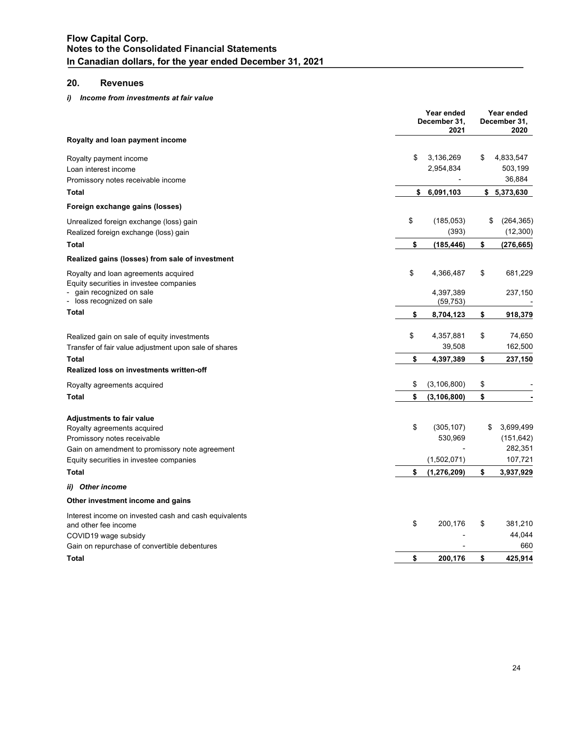# **20. Revenues**

### *i) Income from investments at fair value*

|                                                                                 | Year ended<br>December 31,<br>2021 |    | Year ended<br>December 31,<br>2020 |
|---------------------------------------------------------------------------------|------------------------------------|----|------------------------------------|
| Royalty and loan payment income                                                 |                                    |    |                                    |
| Royalty payment income                                                          | \$<br>3,136,269                    | \$ | 4,833,547                          |
| Loan interest income                                                            | 2,954,834                          |    | 503,199                            |
| Promissory notes receivable income                                              |                                    |    | 36,884                             |
| Total                                                                           | \$<br>6,091,103                    |    | \$5,373,630                        |
| Foreign exchange gains (losses)                                                 |                                    |    |                                    |
| Unrealized foreign exchange (loss) gain                                         | \$<br>(185, 053)                   | \$ | (264, 365)                         |
| Realized foreign exchange (loss) gain                                           | (393)                              |    | (12,300)                           |
| Total                                                                           | \$<br>(185, 446)                   | \$ | (276, 665)                         |
| Realized gains (losses) from sale of investment                                 |                                    |    |                                    |
| Royalty and loan agreements acquired<br>Equity securities in investee companies | \$<br>4,366,487                    | \$ | 681,229                            |
| gain recognized on sale<br>- loss recognized on sale                            | 4,397,389<br>(59, 753)             |    | 237,150                            |
| Total                                                                           | \$<br>8,704,123                    | \$ | 918,379                            |
| Realized gain on sale of equity investments                                     | \$<br>4,357,881                    | \$ | 74,650                             |
| Transfer of fair value adjustment upon sale of shares                           | 39,508                             |    | 162,500                            |
| Total                                                                           | \$<br>4,397,389                    | \$ | 237,150                            |
| Realized loss on investments written-off                                        |                                    |    |                                    |
| Royalty agreements acquired                                                     | \$<br>(3, 106, 800)                | \$ |                                    |
| <b>Total</b>                                                                    | \$<br>(3, 106, 800)                | \$ |                                    |
| <b>Adjustments to fair value</b>                                                |                                    |    |                                    |
| Royalty agreements acquired                                                     | \$<br>(305, 107)                   | S  | 3,699,499                          |
| Promissory notes receivable                                                     | 530,969                            |    | (151, 642)                         |
| Gain on amendment to promissory note agreement                                  |                                    |    | 282,351                            |
| Equity securities in investee companies                                         | (1,502,071)                        |    | 107,721                            |
| Total                                                                           | \$<br>(1, 276, 209)                | \$ | 3,937,929                          |
| ii) Other income                                                                |                                    |    |                                    |
| Other investment income and gains                                               |                                    |    |                                    |
| Interest income on invested cash and cash equivalents<br>and other fee income   | \$<br>200,176                      | \$ | 381,210                            |
| COVID19 wage subsidy                                                            |                                    |    | 44,044                             |
| Gain on repurchase of convertible debentures                                    |                                    |    | 660                                |
| Total                                                                           | \$<br>200,176                      | \$ | 425,914                            |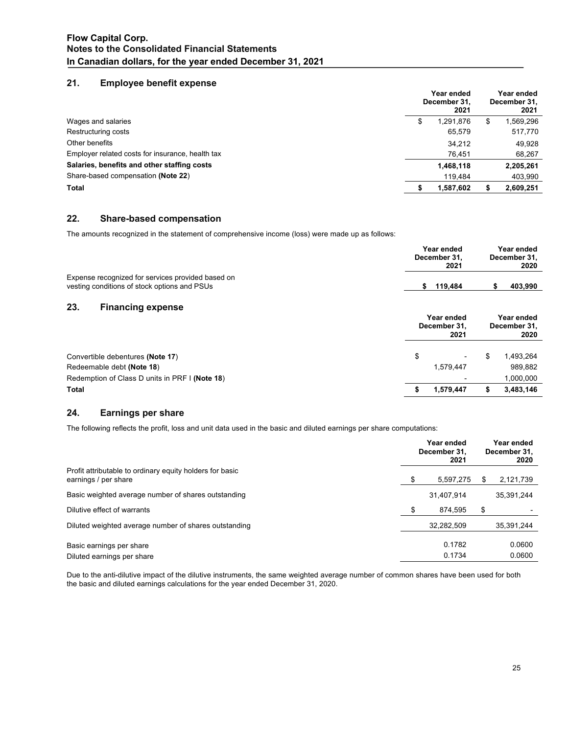# **21. Employee benefit expense**

|                                                  | Year ended<br>December 31,<br>2021 |           |   | Year ended<br>December 31,<br>2021 |  |
|--------------------------------------------------|------------------------------------|-----------|---|------------------------------------|--|
| Wages and salaries                               | S                                  | 1.291.876 | S | .569,296                           |  |
| Restructuring costs                              |                                    | 65,579    |   | 517,770                            |  |
| Other benefits                                   |                                    | 34.212    |   | 49.928                             |  |
| Employer related costs for insurance, health tax |                                    | 76,451    |   | 68,267                             |  |
| Salaries, benefits and other staffing costs      |                                    | 1,468,118 |   | 2,205,261                          |  |
| Share-based compensation (Note 22)               |                                    | 119,484   |   | 403,990                            |  |
| <b>Total</b>                                     |                                    | 1,587,602 |   | 2,609,251                          |  |

# **22. Share-based compensation**

The amounts recognized in the statement of comprehensive income (loss) were made up as follows:

|                                                                                                                 | Year ended<br>December 31.<br>2021          |                                         |
|-----------------------------------------------------------------------------------------------------------------|---------------------------------------------|-----------------------------------------|
| Expense recognized for services provided based on<br>vesting conditions of stock options and PSUs               | 119,484<br>S.                               | 403,990<br>S                            |
| 23.<br><b>Financing expense</b>                                                                                 | Year ended<br>December 31.<br>2021          | Year ended<br>December 31,<br>2020      |
| Convertible debentures (Note 17)<br>Redeemable debt (Note 18)<br>Redemption of Class D units in PRF I (Note 18) | \$<br>$\overline{\phantom{0}}$<br>1,579,447 | \$<br>1,493,264<br>989,882<br>1,000,000 |
| Total                                                                                                           | 1.579.447<br>\$                             | 3.483.146<br>\$                         |

### **24. Earnings per share**

The following reflects the profit, loss and unit data used in the basic and diluted earnings per share computations:

|                                                                                  | Year ended<br>December 31.<br>2021 |    | Year ended<br>December 31.<br>2020 |
|----------------------------------------------------------------------------------|------------------------------------|----|------------------------------------|
| Profit attributable to ordinary equity holders for basic<br>earnings / per share | \$<br>5.597.275                    | S  | 2,121,739                          |
| Basic weighted average number of shares outstanding                              | 31,407,914                         |    | 35,391,244                         |
| Dilutive effect of warrants                                                      | \$<br>874.595                      | \$ |                                    |
| Diluted weighted average number of shares outstanding                            | 32,282,509                         |    | 35,391,244                         |
| Basic earnings per share                                                         | 0.1782                             |    | 0.0600                             |
| Diluted earnings per share                                                       | 0.1734                             |    | 0.0600                             |

Due to the anti-dilutive impact of the dilutive instruments, the same weighted average number of common shares have been used for both the basic and diluted earnings calculations for the year ended December 31, 2020.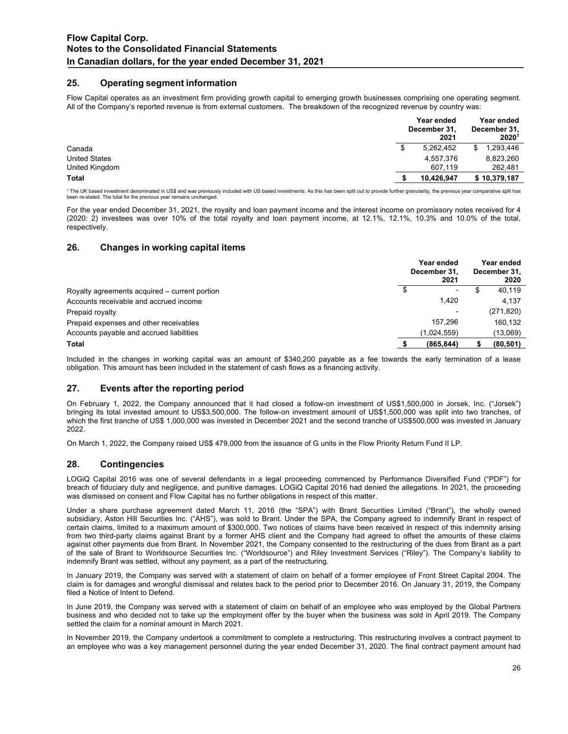### **25. Operating segment information**

Flow Capital operates as an investment firm providing growth capital to emerging growth businesses comprising one operating segment. All of the Company's reported revenue is from external customers. The breakdown of the recognized revenue by country was:

|                      | Year ended<br>December 31,<br>2021 |              |
|----------------------|------------------------------------|--------------|
| Canada               | 5.262.452                          | 1,293,446    |
| <b>United States</b> | 4,557,376                          | 8,823,260    |
| United Kingdom       | 607.119                            | 262.481      |
| <b>Total</b>         | 10,426,947                         | \$10,379,187 |

<sup>1</sup> The UK based investment denominated in US\$ and was previously included with US based investments. As this has been split out to provide further granularity, the previous year comparative split has been re-stated. The total for the previous year remains unchanged.

For the year ended December 31, 2021, the royalty and loan payment income and the interest income on promissory notes received for 4 (2020: 2) investees was over 10% of the total royalty and loan payment income, at 12.1%, 12.1%, 10.3% and 10.0% of the total, respectively.

# **26. Changes in working capital items**

|                                               | Year ended<br>December 31.<br>2021 | Year ended<br>December 31,<br>2020 |
|-----------------------------------------------|------------------------------------|------------------------------------|
| Royalty agreements acquired – current portion | -                                  | 40.119                             |
| Accounts receivable and accrued income        | 1.420                              | 4.137                              |
| Prepaid royalty                               |                                    | (271, 820)                         |
| Prepaid expenses and other receivables        | 157.296                            | 160,132                            |
| Accounts payable and accrued liabilities      | (1.024.559)                        | (13,069)                           |
| Total                                         | (865, 844)                         | (80, 501)                          |

Included in the changes in working capital was an amount of \$340,200 payable as a fee towards the early termination of a lease obligation. This amount has been included in the statement of cash flows as a financing activity.

# **27. Events after the reporting period**

On February 1, 2022, the Company announced that it had closed a follow-on investment of US\$1,500,000 in Jorsek, Inc. ("Jorsek") bringing its total invested amount to US\$3,500,000. The follow-on investment amount of US\$1,500,000 was split into two tranches, of which the first tranche of US\$ 1,000,000 was invested in December 2021 and the second tranche of US\$500,000 was invested in January 2022.

On March 1, 2022, the Company raised US\$ 479,000 from the issuance of G units in the Flow Priority Return Fund II LP.

# **28. Contingencies**

LOGiQ Capital 2016 was one of several defendants in a legal proceeding commenced by Performance Diversified Fund ("PDF") for breach of fiduciary duty and negligence, and punitive damages. LOGiQ Capital 2016 had denied the allegations. In 2021, the proceeding was dismissed on consent and Flow Capital has no further obligations in respect of this matter.

Under a share purchase agreement dated March 11, 2016 (the "SPA") with Brant Securities Limited ("Brant"), the wholly owned subsidiary, Aston Hill Securities Inc. ("AHS"), was sold to Brant. Under the SPA, the Company agreed to indemnify Brant in respect of certain claims, limited to a maximum amount of \$300,000. Two notices of claims have been received in respect of this indemnity arising from two third-party claims against Brant by a former AHS client and the Company had agreed to offset the amounts of these claims against other payments due from Brant. In November 2021, the Company consented to the restructuring of the dues from Brant as a part of the sale of Brant to Worldsource Securities Inc. ("Worldsource") and Riley Investment Services ("Riley"). The Company's liability to indemnify Brant was settled, without any payment, as a part of the restructuring.

In January 2019, the Company was served with a statement of claim on behalf of a former employee of Front Street Capital 2004. The claim is for damages and wrongful dismissal and relates back to the period prior to December 2016. On January 31, 2019, the Company filed a Notice of Intent to Defend.

In June 2019, the Company was served with a statement of claim on behalf of an employee who was employed by the Global Partners business and who decided not to take up the employment offer by the buyer when the business was sold in April 2019. The Company settled the claim for a nominal amount in March 2021.

In November 2019, the Company undertook a commitment to complete a restructuring. This restructuring involves a contract payment to an employee who was a key management personnel during the year ended December 31, 2020. The final contract payment amount had